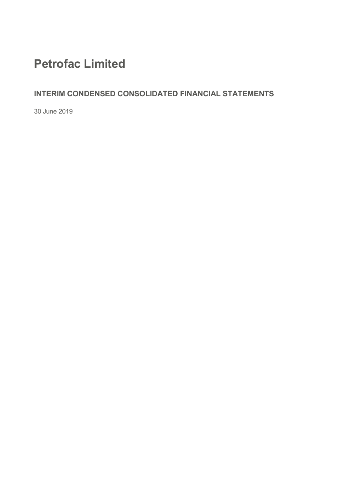# **Petrofac Limited**

### **INTERIM CONDENSED CONSOLIDATED FINANCIAL STATEMENTS**

30 June 2019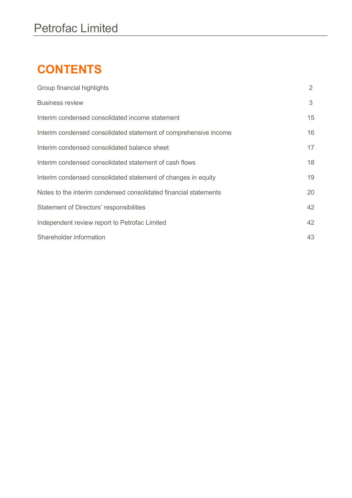# **CONTENTS**

| Group financial highlights                                       | 2  |
|------------------------------------------------------------------|----|
| <b>Business review</b>                                           | 3  |
| Interim condensed consolidated income statement                  | 15 |
| Interim condensed consolidated statement of comprehensive income | 16 |
| Interim condensed consolidated balance sheet                     | 17 |
| Interim condensed consolidated statement of cash flows           | 18 |
| Interim condensed consolidated statement of changes in equity    | 19 |
| Notes to the interim condensed consolidated financial statements | 20 |
| Statement of Directors' responsibilities                         | 42 |
| Independent review report to Petrofac Limited                    | 42 |
| Shareholder information                                          | 43 |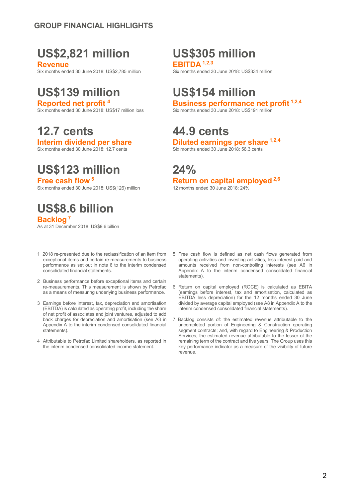# **US\$2,821 million US\$305 million**

**Revenue**<br> **Revenue 30 June 2018: US\$2.785 million**<br> **EBITDA** <sup>1,2,3</sup><br> **Six months ended 30 June 2018: US\$334 million** Six months ended 30 June 2018: US\$2,785 million

# **US\$139 million US\$154 million**

Six months ended 30 June 2018: US\$17 million loss

**12.7 cents 44.9 cents**

# **US\$123 million 24%**

Six months ended 30 June 2018: US\$(126) million

## **US\$8.6 billion Backlog <sup>7</sup>**

As at 31 December 2018: US\$9.6 billion

**Reported net profit <sup>4</sup> Business performance net profit 1,2,4**

**Interim dividend per share Diluted earnings per share 1,2,4**<br>Six months ended 30 June 2018: 12.7 cents **1,2,7** cents **1,2,9** Six months ended 30 June 2018: 56.3 cents Six months ended 30 June 2018: 56.3 cents

# **Free cash flow** <sup>5</sup><br>Six months ended 30 June 2018: US\$(126) million 12 months ended 30 June 2018: 24%

- 1 2018 re-presented due to the reclassification of an item from exceptional items and certain re-measurements to business performance as set out in note 6 to the interim condensed consolidated financial statements.
- 2 Business performance before exceptional items and certain re-measurements. This measurement is shown by Petrofac as a means of measuring underlying business performance.
- 3 Earnings before interest, tax, depreciation and amortisation (EBITDA) is calculated as operating profit, including the share of net profit of associates and joint ventures, adjusted to add back charges for depreciation and amortisation (see A3 in Appendix A to the interim condensed consolidated financial statements).
- 4 Attributable to Petrofac Limited shareholders, as reported in the interim condensed consolidated income statement.
- 5 Free cash flow is defined as net cash flows generated from operating activities and investing activities, less interest paid and amounts received from non-controlling interests (see A6 in Appendix A to the interim condensed consolidated financial statements).
- 6 Return on capital employed (ROCE) is calculated as EBITA (earnings before interest, tax and amortisation, calculated as EBITDA less depreciation) for the 12 months ended 30 June divided by average capital employed (see A8 in Appendix A to the interim condensed consolidated financial statements).
- 7 Backlog consists of: the estimated revenue attributable to the uncompleted portion of Engineering & Construction operating segment contracts; and, with regard to Engineering & Production Services, the estimated revenue attributable to the lesser of the remaining term of the contract and five years. The Group uses this key performance indicator as a measure of the visibility of future revenue.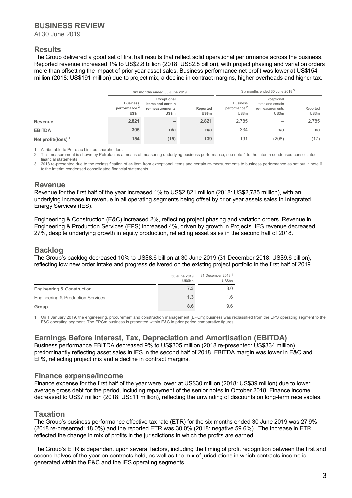At 30 June 2019

### **Results**

The Group delivered a good set of first half results that reflect solid operational performance across the business. Reported revenue increased 1% to US\$2.8 billion (2018: US\$2.8 billion), with project phasing and variation orders more than offsetting the impact of prior year asset sales. Business performance net profit was lower at US\$154 million (2018: US\$191 million) due to project mix, a decline in contract margins, higher overheads and higher tax.

|                       |                                                             | Six months ended 30 June 2019                                       |                          |                                                      | Six months ended 30 June 2018 <sup>3</sup>                   |                   |
|-----------------------|-------------------------------------------------------------|---------------------------------------------------------------------|--------------------------|------------------------------------------------------|--------------------------------------------------------------|-------------------|
|                       | <b>Business</b><br>performance <sup>2</sup><br><b>US\$m</b> | Exceptional<br>items and certain<br>re-measurements<br><b>US\$m</b> | Reported<br><b>US\$m</b> | <b>Business</b><br>performance <sup>2</sup><br>US\$m | Exceptional<br>items and certain<br>re-measurements<br>US\$m | Reported<br>US\$m |
| Revenue               | 2,821                                                       | -                                                                   | 2,821                    | 2,785                                                |                                                              | 2,785             |
| <b>EBITDA</b>         | 305                                                         | n/a                                                                 | n/a                      | 334                                                  | n/a                                                          | n/a               |
| Net profit/(loss) $1$ | 154                                                         | (15)                                                                | 139                      | 191                                                  | (208)                                                        | (17)              |

1 Attributable to Petrofac Limited shareholders.<br>2 This measurement is shown by Petrofac as a

2 This measurement is shown by Petrofac as a means of measuring underlying business performance, see note 4 to the interim condensed consolidated financial statements.

3 2018 re-presented due to the reclassification of an item from exceptional items and certain re-measurements to business performance as set out in note 6 to the interim condensed consolidated financial statements.

### **Revenue**

Revenue for the first half of the year increased 1% to US\$2,821 million (2018: US\$2,785 million), with an underlying increase in revenue in all operating segments being offset by prior year assets sales in Integrated Energy Services (IES).

Engineering & Construction (E&C) increased 2%, reflecting project phasing and variation orders. Revenue in Engineering & Production Services (EPS) increased 4%, driven by growth in Projects. IES revenue decreased 27%, despite underlying growth in equity production, reflecting asset sales in the second half of 2018.

### **Backlog**

The Group's backlog decreased 10% to US\$8.6 billion at 30 June 2019 (31 December 2018: US\$9.6 billion), reflecting low new order intake and progress delivered on the existing project portfolio in the first half of 2019.

|                                              | 30 June 2019<br><b>US\$bn</b> | 31 December 2018 <sup>1</sup><br>US\$bn |
|----------------------------------------------|-------------------------------|-----------------------------------------|
| Engineering & Construction                   | 7.3                           | 8.0                                     |
| <b>Engineering &amp; Production Services</b> | 1.3                           | 16                                      |
| Group                                        | 8.6                           | 96                                      |

1 On 1 January 2019, the engineering, procurement and construction management (EPCm) business was reclassified from the EPS operating segment to the E&C operating segment. The EPCm business is presented within E&C in prior period comparative figures.

### **Earnings Before Interest, Tax, Depreciation and Amortisation (EBITDA)**

Business performance EBITDA decreased 9% to US\$305 million (2018 re-presented: US\$334 million), predominantly reflecting asset sales in IES in the second half of 2018. EBITDA margin was lower in E&C and EPS, reflecting project mix and a decline in contract margins.

### **Finance expense/income**

Finance expense for the first half of the year were lower at US\$30 million (2018: US\$39 million) due to lower average gross debt for the period, including repayment of the senior notes in October 2018. Finance income decreased to US\$7 million (2018: US\$11 million), reflecting the unwinding of discounts on long-term receivables.

### **Taxation**

The Group's business performance effective tax rate (ETR) for the six months ended 30 June 2019 was 27.9% (2018 re-presented: 18.0%) and the reported ETR was 30.0% (2018: negative 59.6%). The increase in ETR reflected the change in mix of profits in the jurisdictions in which the profits are earned.

The Group's ETR is dependent upon several factors, including the timing of profit recognition between the first and second halves of the year on contracts held, as well as the mix of jurisdictions in which contracts income is generated within the E&C and the IES operating segments.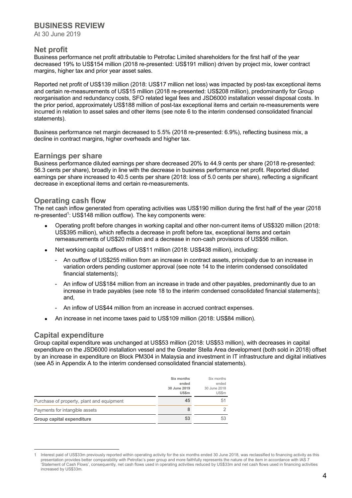At 30 June 2019

### **Net profit**

Business performance net profit attributable to Petrofac Limited shareholders for the first half of the year decreased 19% to US\$154 million (2018 re-presented: US\$191 million) driven by project mix, lower contract margins, higher tax and prior year asset sales.

Reported net profit of US\$139 million (2018: US\$17 million net loss) was impacted by post-tax exceptional items and certain re-measurements of US\$15 million (2018 re-presented: US\$208 million), predominantly for Group reorganisation and redundancy costs, SFO related legal fees and JSD6000 installation vessel disposal costs. In the prior period, approximately US\$188 million of post-tax exceptional items and certain re-measurements were incurred in relation to asset sales and other items (see note 6 to the interim condensed consolidated financial statements).

Business performance net margin decreased to 5.5% (2018 re-presented: 6.9%), reflecting business mix, a decline in contract margins, higher overheads and higher tax.

### **Earnings per share**

Business performance diluted earnings per share decreased 20% to 44.9 cents per share (2018 re-presented: 56.3 cents per share), broadly in line with the decrease in business performance net profit. Reported diluted earnings per share increased to 40.5 cents per share (2018: loss of 5.0 cents per share), reflecting a significant decrease in exceptional items and certain re-measurements.

### **Operating cash flow**

The net cash inflow generated from operating activities was US\$190 million during the first half of the year (2018 re-presented<sup>1</sup>: US\$148 million outflow). The key components were:

- Operating profit before changes in working capital and other non-current items of US\$320 million (2018: US\$395 million), which reflects a decrease in profit before tax, exceptional items and certain remeasurements of US\$20 million and a decrease in non-cash provisions of US\$56 million.
- Net working capital outflows of US\$11 million (2018: US\$438 million), including:
	- An outflow of US\$255 million from an increase in contract assets, principally due to an increase in variation orders pending customer approval (see note 14 to the interim condensed consolidated financial statements);
	- An inflow of US\$184 million from an increase in trade and other payables, predominantly due to an increase in trade payables (see note 18 to the interim condensed consolidated financial statements); and,
	- An inflow of US\$44 million from an increase in accrued contract expenses.
- An increase in net income taxes paid to US\$109 million (2018: US\$84 million).

### **Capital expenditure**

Group capital expenditure was unchanged at US\$53 million (2018: US\$53 million), with decreases in capital expenditure on the JSD6000 installation vessel and the Greater Stella Area development (both sold in 2018) offset by an increase in expenditure on Block PM304 in Malaysia and investment in IT infrastructure and digital initiatives (see A5 in Appendix A to the interim condensed consolidated financial statements).

|                                           | Six months<br>ended<br>30 June 2019<br><b>US\$m</b> | Six months<br>ended<br>30 June 2018<br>US\$m |
|-------------------------------------------|-----------------------------------------------------|----------------------------------------------|
| Purchase of property, plant and equipment | 45                                                  | 51                                           |
| Payments for intangible assets            | 8                                                   | $\mathcal{P}$                                |
| Group capital expenditure                 | 53                                                  | 53                                           |

Interest paid of US\$33m previously reported within operating activity for the six months ended 30 June 2018, was reclassified to financing activity as this presentation provides better comparability with Petrofac's peer group and more faithfully represents the nature of the item in accordance with IAS 7 'Statement of Cash Flows', consequently, net cash flows used in operating activities reduced by US\$33m and net cash flows used in financing activities increased by US\$33m.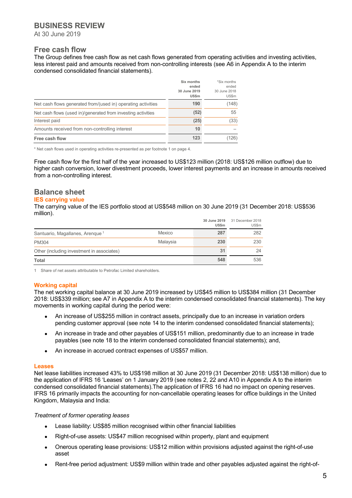At 30 June 2019

### **Free cash flow**

The Group defines free cash flow as net cash flows generated from operating activities and investing activities, less interest paid and amounts received from non-controlling interests (see A6 in Appendix A to the interim condensed consolidated financial statements).

|                                                              | Six months<br>ended<br>30 June 2019<br><b>US\$m</b> | *Six months<br>ended<br>30 June 2018<br>US\$m |
|--------------------------------------------------------------|-----------------------------------------------------|-----------------------------------------------|
| Net cash flows generated from/(used in) operating activities | 190                                                 | (148)                                         |
| Net cash flows (used in)/generated from investing activities | (52)                                                | 55                                            |
| Interest paid                                                | (25)                                                | (33)                                          |
| Amounts received from non-controlling interest               | 10                                                  |                                               |
| Free cash flow                                               | 123                                                 | (126)                                         |

\* Net cash flows used in operating activities re-presented as per footnote 1 on page 4.

Free cash flow for the first half of the year increased to US\$123 million (2018: US\$126 million outflow) due to higher cash conversion, lower divestment proceeds, lower interest payments and an increase in amounts received from a non-controlling interest.

### **Balance sheet**

#### **IES carrying value**

The carrying value of the IES portfolio stood at US\$548 million on 30 June 2019 (31 December 2018: US\$536 million).

|                                             |          | 30 June 2019<br>US\$m | 31 December 2018<br>US\$m |
|---------------------------------------------|----------|-----------------------|---------------------------|
| Santuario, Magallanes, Arenque <sup>1</sup> | Mexico   | 287                   | 282                       |
| <b>PM304</b>                                | Malaysia | 230                   | 230                       |
| Other (including investment in associates)  |          | 31                    | 24                        |
| Total                                       |          | 548                   | 536                       |

1 Share of net assets attributable to Petrofac Limited shareholders.

#### **Working capital**

The net working capital balance at 30 June 2019 increased by US\$45 million to US\$384 million (31 December 2018: US\$339 million; see A7 in Appendix A to the interim condensed consolidated financial statements). The key movements in working capital during the period were:

- An increase of US\$255 million in contract assets, principally due to an increase in variation orders pending customer approval (see note 14 to the interim condensed consolidated financial statements);
- An increase in trade and other payables of US\$151 million, predominantly due to an increase in trade payables (see note 18 to the interim condensed consolidated financial statements); and,
- An increase in accrued contract expenses of US\$57 million.

#### **Leases**

Net lease liabilities increased 43% to US\$198 million at 30 June 2019 (31 December 2018: US\$138 million) due to the application of IFRS 16 'Leases' on 1 January 2019 (see notes 2, 22 and A10 in Appendix A to the interim condensed consolidated financial statements).The application of IFRS 16 had no impact on opening reserves. IFRS 16 primarily impacts the accounting for non-cancellable operating leases for office buildings in the United Kingdom, Malaysia and India:

#### *Treatment of former operating leases*

- Lease liability: US\$85 million recognised within other financial liabilities
- Right-of-use assets: US\$47 million recognised within property, plant and equipment
- Onerous operating lease provisions: US\$12 million within provisions adjusted against the right-of-use asset
- Rent-free period adjustment: US\$9 million within trade and other payables adjusted against the right-of-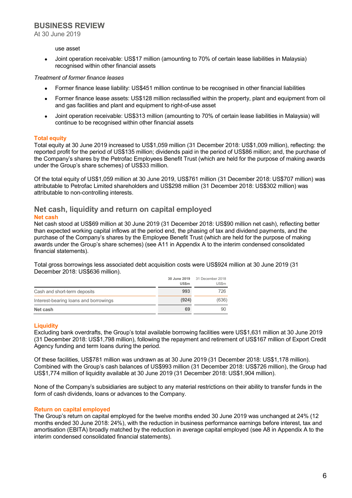At 30 June 2019

#### use asset

 Joint operation receivable: US\$17 million (amounting to 70% of certain lease liabilities in Malaysia) recognised within other financial assets

#### *Treatment of former finance leases*

- Former finance lease liability: US\$451 million continue to be recognised in other financial liabilities
- Former finance lease assets: US\$128 million reclassified within the property, plant and equipment from oil and gas facilities and plant and equipment to right-of-use asset
- Joint operation receivable: US\$313 million (amounting to 70% of certain lease liabilities in Malaysia) will continue to be recognised within other financial assets

#### **Total equity**

Total equity at 30 June 2019 increased to US\$1,059 million (31 December 2018: US\$1,009 million), reflecting: the reported profit for the period of US\$135 million; dividends paid in the period of US\$86 million; and, the purchase of the Company's shares by the Petrofac Employees Benefit Trust (which are held for the purpose of making awards under the Group's share schemes) of US\$33 million.

Of the total equity of US\$1,059 million at 30 June 2019, US\$761 million (31 December 2018: US\$707 million) was attributable to Petrofac Limited shareholders and US\$298 million (31 December 2018: US\$302 million) was attributable to non-controlling interests.

## **Net cash, liquidity and return on capital employed**

#### **Net cash**

Net cash stood at US\$69 million at 30 June 2019 (31 December 2018: US\$90 million net cash), reflecting better than expected working capital inflows at the period end, the phasing of tax and dividend payments, and the purchase of the Company's shares by the Employee Benefit Trust (which are held for the purpose of making awards under the Group's share schemes) (see A11 in Appendix A to the interim condensed consolidated financial statements).

Total gross borrowings less associated debt acquisition costs were US\$924 million at 30 June 2019 (31 December 2018: US\$636 million).

|                                       | 30 June 2019<br><b>US\$m</b> | 31 December 2018<br>US\$m |
|---------------------------------------|------------------------------|---------------------------|
| Cash and short-term deposits          | 993                          | 726                       |
| Interest-bearing loans and borrowings | (924)                        | (636)                     |
| Net cash                              | 69                           | 90                        |

#### **Liquidity**

Excluding bank overdrafts, the Group's total available borrowing facilities were US\$1,631 million at 30 June 2019 (31 December 2018: US\$1,798 million), following the repayment and retirement of US\$167 million of Export Credit Agency funding and term loans during the period.

Of these facilities, US\$781 million was undrawn as at 30 June 2019 (31 December 2018: US\$1,178 million). Combined with the Group's cash balances of US\$993 million (31 December 2018: US\$726 million), the Group had US\$1,774 million of liquidity available at 30 June 2019 (31 December 2018: US\$1,904 million).

None of the Company's subsidiaries are subject to any material restrictions on their ability to transfer funds in the form of cash dividends, loans or advances to the Company.

#### **Return on capital employed**

The Group's return on capital employed for the twelve months ended 30 June 2019 was unchanged at 24% (12 months ended 30 June 2018: 24%), with the reduction in business performance earnings before interest, tax and amortisation (EBITA) broadly matched by the reduction in average capital employed (see A8 in Appendix A to the interim condensed consolidated financial statements).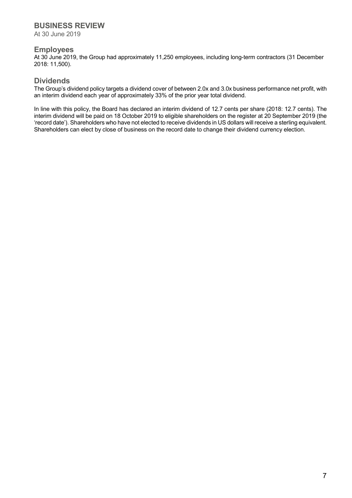At 30 June 2019

### **Employees**

At 30 June 2019, the Group had approximately 11,250 employees, including long-term contractors (31 December 2018: 11,500).

### **Dividends**

The Group's dividend policy targets a dividend cover of between 2.0x and 3.0x business performance net profit, with an interim dividend each year of approximately 33% of the prior year total dividend.

In line with this policy, the Board has declared an interim dividend of 12.7 cents per share (2018: 12.7 cents). The interim dividend will be paid on 18 October 2019 to eligible shareholders on the register at 20 September 2019 (the 'record date'). Shareholders who have not elected to receive dividends in US dollars will receive a sterling equivalent. Shareholders can elect by close of business on the record date to change their dividend currency election.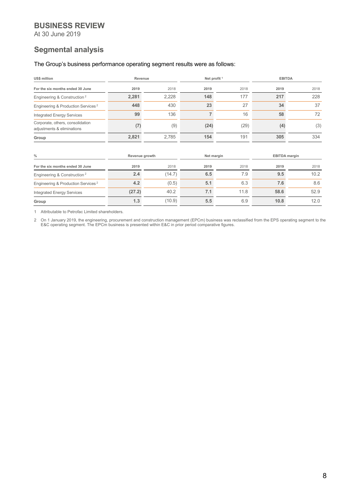At 30 June 2019

### **Segmental analysis**

#### The Group's business performance operating segment results were as follows:

| <b>US\$ million</b>                                            | Net profit <sup>1</sup><br>Revenue |        | <b>EBITDA</b>  |            |      |                      |  |
|----------------------------------------------------------------|------------------------------------|--------|----------------|------------|------|----------------------|--|
| For the six months ended 30 June                               | 2019                               | 2018   | 2019           | 2018       | 2019 | 2018                 |  |
| Engineering & Construction <sup>2</sup>                        | 2,281                              | 2,228  | 148            | 177        | 217  | 228                  |  |
| Engineering & Production Services <sup>2</sup>                 | 448                                | 430    | 23             | 27         | 34   | 37                   |  |
| <b>Integrated Energy Services</b>                              | 99                                 | 136    | $\overline{7}$ | 16         | 58   | 72                   |  |
| Corporate, others, consolidation<br>adjustments & eliminations | (7)                                | (9)    | (24)           | (29)       | (4)  | (3)                  |  |
| Group                                                          | 2,821                              | 2,785  | 154            | 191        | 305  | 334                  |  |
| $\frac{0}{0}$                                                  | Revenue growth                     |        |                | Net margin |      | <b>EBITDA</b> margin |  |
| For the six months ended 30 June                               | 2019                               | 2018   | 2019           | 2018       | 2019 | 2018                 |  |
| Engineering & Construction <sup>2</sup>                        | 2.4                                | (14.7) | 6.5            | 7.9        | 9.5  | 10.2                 |  |
| Engineering & Production Services <sup>2</sup>                 | 4.2                                | (0.5)  | 5.1            | 6.3        | 7.6  | 8.6                  |  |
| <b>Integrated Energy Services</b>                              | (27.2)                             | 40.2   | 7.1            | 11.8       | 58.6 | 52.9                 |  |
| Group                                                          | 1.3                                | (10.9) | 5.5            | 6.9        | 10.8 | 12.0                 |  |

1 Attributable to Petrofac Limited shareholders.

2 On 1 January 2019, the engineering, procurement and construction management (EPCm) business was reclassified from the EPS operating segment to the E&C operating segment. The EPCm business is presented within E&C in prior period comparative figures.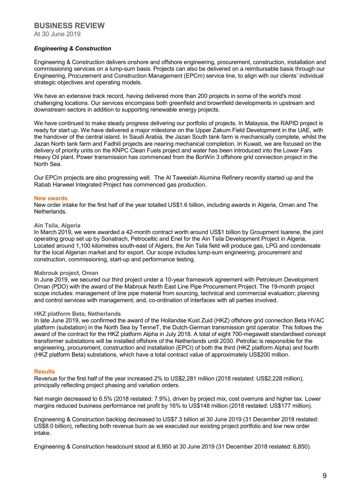At 30 June 2019

#### *Engineering & Construction*

Engineering & Construction delivers onshore and offshore engineering, procurement, construction, installation and commissioning services on a lump-sum basis. Projects can also be delivered on a reimbursable basis through our Engineering, Procurement and Construction Management (EPCm) service line, to align with our clients' individual strategic objectives and operating models.

We have an extensive track record, having delivered more than 200 projects in some of the world's most challenging locations. Our services encompass both greenfield and brownfield developments in upstream and downstream sectors in addition to supporting renewable energy projects.

We have continued to make steady progress delivering our portfolio of projects. In Malaysia, the RAPID project is ready for start up. We have delivered a major milestone on the Upper Zakum Field Development in the UAE, with the handover of the central island. In Saudi Arabia, the Jazan South tank farm is mechanically complete, whilst the Jazan North tank farm and Fadhili projects are nearing mechanical completion. In Kuwait, we are focused on the delivery of priority units on the KNPC Clean Fuels project and water has been introduced into the Lower Fars Heavy Oil plant. Power transmission has commenced from the BorWin 3 offshore grid connection project in the North Sea.

Our EPCm projects are also progressing well. The Al Taweelah Alumina Refinery recently started up and the Rabab Harweel Integrated Project has commenced gas production.

#### **New awards**

New order intake for the first half of the year totalled US\$1.6 billion, including awards in Algeria, Oman and The **Netherlands** 

#### **Ain Tsila, Algeria**

In March 2019, we were awarded a 42-month contract worth around US\$1 billion by Groupment Isarene, the joint operating group set up by Sonatrach, Petroceltic and Enel for the Ain Tsila Development Project in Algeria. Located around 1,100 kilometres south-east of Algiers, the Ain Tsila field will produce gas, LPG and condensate for the local Algerian market and for export. Our scope includes lump-sum engineering, procurement and construction, commissioning, start-up and performance testing.

#### **Mabrouk project, Oman**

In June 2019, we secured our third project under a 10-year framework agreement with Petroleum Development Oman (PDO) with the award of the Mabrouk North East Line Pipe Procurement Project. The 19-month project scope includes: management of line pipe material from sourcing, technical and commercial evaluation; planning and control services with management; and, co-ordination of interfaces with all parties involved.

#### **HKZ platform Beta, Netherlands**

In late June 2019, we confirmed the award of the Hollandse Kust Zuid (HKZ) offshore grid connection Beta HVAC platform (substation) in the North Sea by TenneT, the Dutch-German transmission grid operator. This follows the award of the contract for the HKZ platform Alpha in July 2018. A total of eight 700-megawatt standardised concept transformer substations will be installed offshore of the Netherlands until 2030. Petrofac is responsible for the engineering, procurement, construction and installation (EPCI) of both the third (HKZ platform Alpha) and fourth (HKZ platform Beta) substations, which have a total contract value of approximately US\$200 million.

#### **Results**

Revenue for the first half of the year increased 2% to US\$2,281 million (2018 restated: US\$2,228 million), principally reflecting project phasing and variation orders.

Net margin decreased to 6.5% (2018 restated: 7.9%), driven by project mix, cost overruns and higher tax. Lower margins reduced business performance net profit by 16% to US\$148 million (2018 restated: US\$177 million).

Engineering & Construction backlog decreased to US\$7.3 billion at 30 June 2019 (31 December 2018 restated: US\$8.0 billion), reflecting both revenue burn as we executed our existing project portfolio and low new order intake.

Engineering & Construction headcount stood at 6,950 at 30 June 2019 (31 December 2018 restated: 6,850).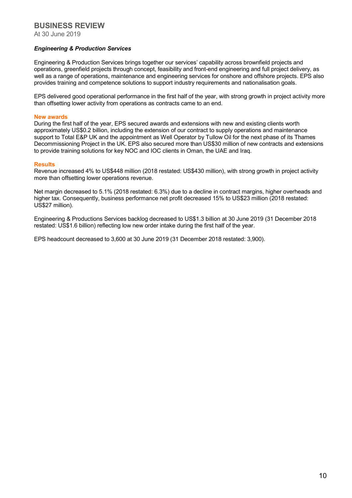At 30 June 2019

#### *Engineering & Production Services*

Engineering & Production Services brings together our services' capability across brownfield projects and operations, greenfield projects through concept, feasibility and front-end engineering and full project delivery, as well as a range of operations, maintenance and engineering services for onshore and offshore projects. EPS also provides training and competence solutions to support industry requirements and nationalisation goals.

EPS delivered good operational performance in the first half of the year, with strong growth in project activity more than offsetting lower activity from operations as contracts came to an end.

#### **New awards**

During the first half of the year, EPS secured awards and extensions with new and existing clients worth approximately US\$0.2 billion, including the extension of our contract to supply operations and maintenance support to Total E&P UK and the appointment as Well Operator by Tullow Oil for the next phase of its Thames Decommissioning Project in the UK. EPS also secured more than US\$30 million of new contracts and extensions to provide training solutions for key NOC and IOC clients in Oman, the UAE and Iraq.

#### **Results**

Revenue increased 4% to US\$448 million (2018 restated: US\$430 million), with strong growth in project activity more than offsetting lower operations revenue.

Net margin decreased to 5.1% (2018 restated: 6.3%) due to a decline in contract margins, higher overheads and higher tax. Consequently, business performance net profit decreased 15% to US\$23 million (2018 restated: US\$27 million).

Engineering & Productions Services backlog decreased to US\$1.3 billion at 30 June 2019 (31 December 2018 restated: US\$1.6 billion) reflecting low new order intake during the first half of the year.

EPS headcount decreased to 3,600 at 30 June 2019 (31 December 2018 restated: 3,900).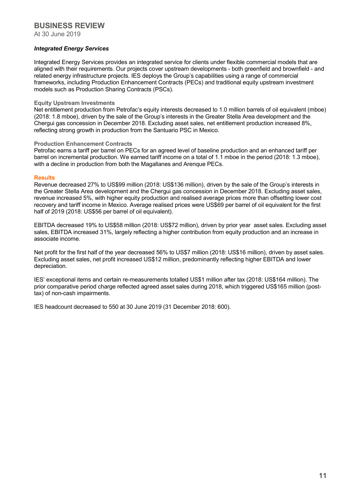At 30 June 2019

#### *Integrated Energy Services*

Integrated Energy Services provides an integrated service for clients under flexible commercial models that are aligned with their requirements. Our projects cover upstream developments - both greenfield and brownfield - and related energy infrastructure projects. IES deploys the Group's capabilities using a range of commercial frameworks, including Production Enhancement Contracts (PECs) and traditional equity upstream investment models such as Production Sharing Contracts (PSCs).

#### **Equity Upstream Investments**

Net entitlement production from Petrofac's equity interests decreased to 1.0 million barrels of oil equivalent (mboe) (2018: 1.8 mboe), driven by the sale of the Group's interests in the Greater Stella Area development and the Chergui gas concession in December 2018. Excluding asset sales, net entitlement production increased 8%, reflecting strong growth in production from the Santuario PSC in Mexico.

#### **Production Enhancement Contracts**

Petrofac earns a tariff per barrel on PECs for an agreed level of baseline production and an enhanced tariff per barrel on incremental production. We earned tariff income on a total of 1.1 mboe in the period (2018: 1.3 mboe), with a decline in production from both the Magallanes and Arenque PECs.

#### **Results**

Revenue decreased 27% to US\$99 million (2018: US\$136 million), driven by the sale of the Group's interests in the Greater Stella Area development and the Chergui gas concession in December 2018. Excluding asset sales, revenue increased 5%, with higher equity production and realised average prices more than offsetting lower cost recovery and tariff income in Mexico. Average realised prices were US\$69 per barrel of oil equivalent for the first half of 2019 (2018: US\$56 per barrel of oil equivalent).

EBITDA decreased 19% to US\$58 million (2018: US\$72 million), driven by prior year asset sales. Excluding asset sales, EBITDA increased 31%, largely reflecting a higher contribution from equity production and an increase in associate income.

Net profit for the first half of the year decreased 56% to US\$7 million (2018: US\$16 million), driven by asset sales. Excluding asset sales, net profit increased US\$12 million, predominantly reflecting higher EBITDA and lower depreciation.

IES' exceptional items and certain re-measurements totalled US\$1 million after tax (2018: US\$164 million). The prior comparative period charge reflected agreed asset sales during 2018, which triggered US\$165 million (posttax) of non-cash impairments.

IES headcount decreased to 550 at 30 June 2019 (31 December 2018: 600).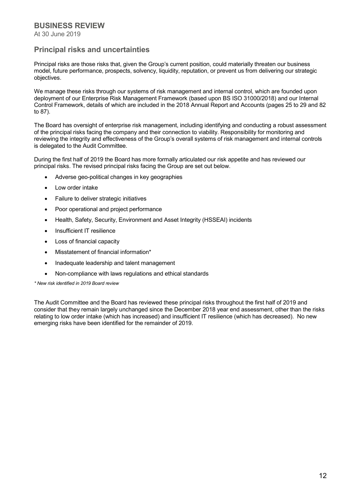At 30 June 2019

### **Principal risks and uncertainties**

Principal risks are those risks that, given the Group's current position, could materially threaten our business model, future performance, prospects, solvency, liquidity, reputation, or prevent us from delivering our strategic objectives.

We manage these risks through our systems of risk management and internal control, which are founded upon deployment of our Enterprise Risk Management Framework (based upon BS ISO 31000/2018) and our Internal Control Framework, details of which are included in the 2018 Annual Report and Accounts (pages 25 to 29 and 82 to 87).

The Board has oversight of enterprise risk management, including identifying and conducting a robust assessment of the principal risks facing the company and their connection to viability. Responsibility for monitoring and reviewing the integrity and effectiveness of the Group's overall systems of risk management and internal controls is delegated to the Audit Committee.

During the first half of 2019 the Board has more formally articulated our risk appetite and has reviewed our principal risks. The revised principal risks facing the Group are set out below.

- Adverse geo-political changes in key geographies
- Low order intake
- Failure to deliver strategic initiatives
- Poor operational and project performance
- Health, Safety, Security, Environment and Asset Integrity (HSSEAI) incidents
- Insufficient IT resilience
- Loss of financial capacity
- Misstatement of financial information\*
- Inadequate leadership and talent management
- Non-compliance with laws regulations and ethical standards

*\* New risk identified in 2019 Board review*

The Audit Committee and the Board has reviewed these principal risks throughout the first half of 2019 and consider that they remain largely unchanged since the December 2018 year end assessment, other than the risks relating to low order intake (which has increased) and insufficient IT resilience (which has decreased). No new emerging risks have been identified for the remainder of 2019.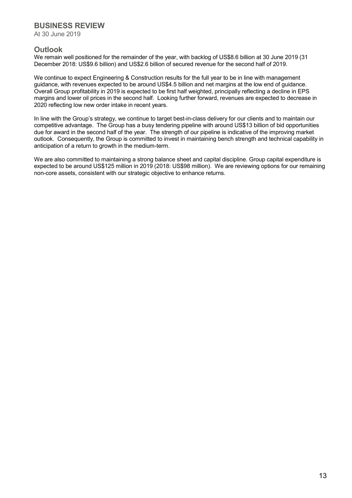At 30 June 2019

### **Outlook**

We remain well positioned for the remainder of the year, with backlog of US\$8.6 billion at 30 June 2019 (31 December 2018: US\$9.6 billion) and US\$2.6 billion of secured revenue for the second half of 2019.

We continue to expect Engineering & Construction results for the full year to be in line with management guidance, with revenues expected to be around US\$4.5 billion and net margins at the low end of guidance. Overall Group profitability in 2019 is expected to be first half weighted, principally reflecting a decline in EPS margins and lower oil prices in the second half. Looking further forward, revenues are expected to decrease in 2020 reflecting low new order intake in recent years.

In line with the Group's strategy, we continue to target best-in-class delivery for our clients and to maintain our competitive advantage. The Group has a busy tendering pipeline with around US\$13 billion of bid opportunities due for award in the second half of the year. The strength of our pipeline is indicative of the improving market outlook. Consequently, the Group is committed to invest in maintaining bench strength and technical capability in anticipation of a return to growth in the medium-term.

We are also committed to maintaining a strong balance sheet and capital discipline. Group capital expenditure is expected to be around US\$125 million in 2019 (2018: US\$98 million). We are reviewing options for our remaining non-core assets, consistent with our strategic objective to enhance returns.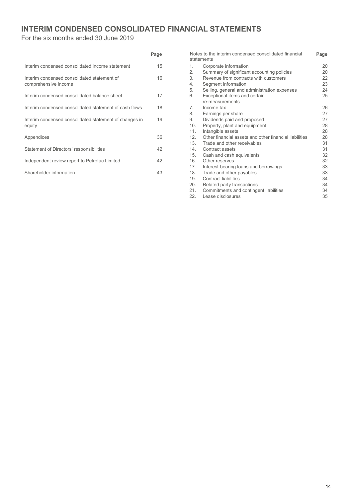## **INTERIM CONDENSED CONSOLIDATED FINANCIAL STATEMENTS**

For the six months ended 30 June 2019

|                                                                     | Page |
|---------------------------------------------------------------------|------|
| Interim condensed consolidated income statement                     | 15   |
| Interim condensed consolidated statement of<br>comprehensive income | 16   |
| Interim condensed consolidated balance sheet                        | 17   |
| Interim condensed consolidated statement of cash flows              | 18   |
| Interim condensed consolidated statement of changes in<br>equity    | 19   |
| Appendices                                                          | 36   |
| Statement of Directors' responsibilities                            | 42   |
| Independent review report to Petrofac Limited                       | 42   |
| Shareholder information                                             | 43   |

|                | Notes to the interim condensed consolidated financial<br>statements | Page |
|----------------|---------------------------------------------------------------------|------|
| 1.             | Corporate information                                               | 20   |
| 2.             | Summary of significant accounting policies                          | 20   |
| 3.             | Revenue from contracts with customers                               | 22   |
| 4.             | Segment information                                                 | 23   |
| 5.             | Selling, general and administration expenses                        | 24   |
| 6.             | Exceptional items and certain                                       | 25   |
|                | re-measurements                                                     |      |
| $\overline{7}$ | Income tax                                                          | 26   |
| 8.             | Earnings per share                                                  | 27   |
| 9.             | Dividends paid and proposed                                         | 27   |
| 10.            | Property, plant and equipment                                       | 28   |
| 11.            | Intangible assets                                                   | 28   |
| 12.            | Other financial assets and other financial liabilities              | 28   |
| 13.            | Trade and other receivables                                         | 31   |
| 14.            | Contract assets                                                     | 31   |
| 15.            | Cash and cash equivalents                                           | 32   |
| 16.            | Other reserves                                                      | 32   |
| 17.            | Interest-bearing loans and borrowings                               | 33   |
| 18.            | Trade and other payables                                            | 33   |
| 19.            | <b>Contract liabilities</b>                                         | 34   |
| 20.            | Related party transactions                                          | 34   |
| 21.            | Commitments and contingent liabilities                              | 34   |
| 22.            | Lease disclosures                                                   | 35   |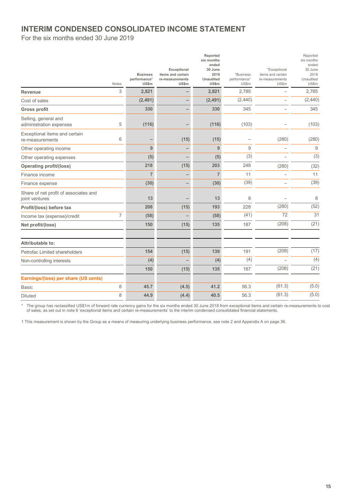### **INTERIM CONDENSED CONSOLIDATED INCOME STATEMENT**

For the six months ended 30 June 2019

|                                                         | Notes          | <b>Business</b><br>performance <sup>1</sup><br>US\$m | Exceptional<br>items and certain<br>re-measurements<br>US\$m | Reported<br>six months<br>ended<br>30 June<br>2019<br>Unaudited<br>US\$m | *Business<br>performance <sup>1</sup><br>US\$m | *Exceptional<br>items and certain<br>re-measurements<br>US\$m | Reported<br>six months<br>ended<br>30 June<br>2018<br>Unaudited<br>US\$m |
|---------------------------------------------------------|----------------|------------------------------------------------------|--------------------------------------------------------------|--------------------------------------------------------------------------|------------------------------------------------|---------------------------------------------------------------|--------------------------------------------------------------------------|
| <b>Revenue</b>                                          | 3              | 2,821                                                |                                                              | 2,821                                                                    | 2,785                                          |                                                               | 2,785                                                                    |
| Cost of sales                                           |                | (2, 491)                                             |                                                              | (2, 491)                                                                 | (2,440)                                        |                                                               | (2,440)                                                                  |
| <b>Gross profit</b>                                     |                | 330                                                  |                                                              | 330                                                                      | 345                                            |                                                               | 345                                                                      |
| Selling, general and<br>administration expenses         | 5              | (116)                                                |                                                              | (116)                                                                    | (103)                                          |                                                               | (103)                                                                    |
| Exceptional items and certain<br>re-measurements        | 6              |                                                      | (15)                                                         | (15)                                                                     | $\overline{\phantom{0}}$                       | (280)                                                         | (280)                                                                    |
| Other operating income                                  |                | 9                                                    |                                                              | 9                                                                        | 9                                              |                                                               | 9                                                                        |
| Other operating expenses                                |                | (5)                                                  |                                                              | (5)                                                                      | (3)                                            |                                                               | (3)                                                                      |
| <b>Operating profit/(loss)</b>                          |                | 218                                                  | (15)                                                         | 203                                                                      | 248                                            | (280)                                                         | (32)                                                                     |
| Finance income                                          |                | $\overline{7}$                                       |                                                              | $\overline{7}$                                                           | 11                                             |                                                               | 11                                                                       |
| Finance expense                                         |                | (30)                                                 |                                                              | (30)                                                                     | (39)                                           |                                                               | (39)                                                                     |
| Share of net profit of associates and<br>joint ventures |                | 13                                                   |                                                              | 13                                                                       | 8                                              |                                                               | 8                                                                        |
| Profit/(loss) before tax                                |                | 208                                                  | (15)                                                         | 193                                                                      | 228                                            | (280)                                                         | (52)                                                                     |
| Income tax (expense)/credit                             | $\overline{7}$ | (58)                                                 |                                                              | (58)                                                                     | (41)                                           | 72                                                            | 31                                                                       |
| Net profit/(loss)                                       |                | 150                                                  | (15)                                                         | 135                                                                      | 187                                            | (208)                                                         | (21)                                                                     |
| Attributable to:                                        |                |                                                      |                                                              |                                                                          |                                                |                                                               |                                                                          |
| Petrofac Limited shareholders                           |                | 154                                                  | (15)                                                         | 139                                                                      | 191                                            | (208)                                                         | (17)                                                                     |
| Non-controlling interests                               |                | (4)                                                  |                                                              | (4)                                                                      | (4)                                            |                                                               | (4)                                                                      |
|                                                         |                | 150                                                  | (15)                                                         | 135                                                                      | 187                                            | (208)                                                         | (21)                                                                     |
| Earnings/(loss) per share (US cents)                    |                |                                                      |                                                              |                                                                          |                                                |                                                               |                                                                          |
| <b>Basic</b>                                            | 8              | 45.7                                                 | (4.5)                                                        | 41.2                                                                     | 56.3                                           | (61.3)                                                        | (5.0)                                                                    |
| <b>Diluted</b>                                          | 8              | 44.9                                                 | (4.4)                                                        | 40.5                                                                     | 56.3                                           | (61.3)                                                        | (5.0)                                                                    |

\* The group has reclassified US\$1m of forward rate currency gains for the six months ended 30 June 2018 from exceptional items and certain re-measurements to cost of sales, as set out in note 6 'exceptional items and certain re-measurements' to the interim condensed consolidated financial statements.

1 This measurement is shown by the Group as a means of measuring underlying business performance, see note 2 and Appendix A on page 36.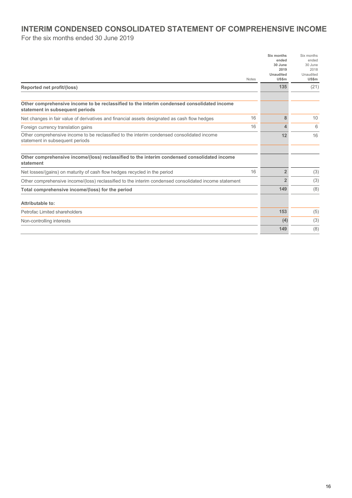### **INTERIM CONDENSED CONSOLIDATED STATEMENT OF COMPREHENSIVE INCOME**

For the six months ended 30 June 2019

| Six months<br>ended | Six months<br>ended         |
|---------------------|-----------------------------|
| 30 June             | 30 June<br>2018             |
| Unaudited           | Unaudited                   |
|                     | <b>US\$m</b>                |
|                     | (21)                        |
|                     |                             |
|                     |                             |
| 8                   | 10                          |
| Δ.                  | 6                           |
| 12                  | 16                          |
|                     |                             |
|                     |                             |
| $\overline{2}$      | (3)                         |
| $\overline{2}$      | (3)                         |
| 149                 | (8)                         |
|                     |                             |
| 153                 | (5)                         |
| (4)                 | (3)                         |
| 149                 | (8)                         |
|                     | 2019<br><b>US\$m</b><br>135 |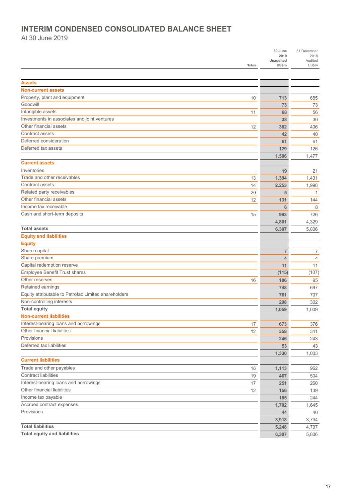### **INTERIM CONDENSED CONSOLIDATED BALANCE SHEET**

At 30 June 2019

|                                                      | <b>Notes</b> | 30 June<br>2019<br>Unaudited<br>US\$m | 31 December<br>2018<br>Audited<br>US\$m |
|------------------------------------------------------|--------------|---------------------------------------|-----------------------------------------|
|                                                      |              |                                       |                                         |
| <b>Assets</b>                                        |              |                                       |                                         |
| <b>Non-current assets</b>                            |              |                                       |                                         |
| Property, plant and equipment                        | 10           | 713                                   | 685                                     |
| Goodwill                                             |              | 73                                    | 73                                      |
| Intangible assets                                    | 11           | 68                                    | 56                                      |
| Investments in associates and joint ventures         |              | 38                                    | 30                                      |
| Other financial assets                               | 12           | 382                                   | 406                                     |
| Contract assets                                      |              | 42                                    | 40                                      |
| Deferred consideration                               |              | 61                                    | 61                                      |
| Deferred tax assets                                  |              | 129                                   | 126                                     |
|                                                      |              | 1.506                                 | 1,477                                   |
| <b>Current assets</b>                                |              |                                       |                                         |
| Inventories                                          |              | 19                                    | 21                                      |
| Trade and other receivables                          | 13           | 1.394                                 | 1,431                                   |
| Contract assets                                      | 14           | 2,253                                 | 1,998                                   |
| Related party receivables                            | 20           | 5                                     | 1                                       |
| Other financial assets                               | 12           | 131                                   | 144                                     |
| Income tax receivable                                |              | 6                                     | 8                                       |
| Cash and short-term deposits                         | 15           | 993                                   | 726                                     |
|                                                      |              | 4,801                                 | 4,329                                   |
| <b>Total assets</b>                                  |              | 6,307                                 | 5,806                                   |
| <b>Equity and liabilities</b>                        |              |                                       |                                         |
| <b>Equity</b>                                        |              |                                       |                                         |
| Share capital                                        |              | $\overline{7}$                        | 7                                       |
| Share premium                                        |              | $\overline{4}$                        | 4                                       |
| Capital redemption reserve                           |              | 11                                    | 11                                      |
| Employee Benefit Trust shares                        |              | (115)                                 | (107)                                   |
| Other reserves                                       | 16           | 106                                   | 95                                      |
| Retained earnings                                    |              | 748                                   | 697                                     |
| Equity attributable to Petrofac Limited shareholders |              | 761                                   | 707                                     |
| Non-controlling interests                            |              | 298                                   | 302                                     |
| <b>Total equity</b>                                  |              | 1,059                                 | 1,009                                   |
| <b>Non-current liabilities</b>                       |              |                                       |                                         |
| Interest-bearing loans and borrowings                | 17           | 673                                   | 376                                     |
| Other financial liabilities                          | 12           | 358                                   | 341                                     |
| Provisions                                           |              | 246                                   | 243                                     |
| Deferred tax liabilities                             |              | 53                                    | 43                                      |
|                                                      |              | 1,330                                 | 1,003                                   |
| <b>Current liabilities</b>                           |              |                                       |                                         |
| Trade and other payables                             | 18           | 1,113                                 | 962                                     |
| <b>Contract liabilities</b>                          | 19           | 467                                   | 504                                     |
| Interest-bearing loans and borrowings                | 17           | 251                                   | 260                                     |
| Other financial liabilities                          | 12           | 156                                   | 139                                     |
| Income tax payable                                   |              | 185                                   | 244                                     |
| Accrued contract expenses                            |              | 1,702                                 | 1,645                                   |
| Provisions                                           |              | 44                                    | 40                                      |
|                                                      |              | 3,918                                 | 3,794                                   |
| <b>Total liabilities</b>                             |              | 5,248                                 | 4,797                                   |
| <b>Total equity and liabilities</b>                  |              | 6,307                                 | 5,806                                   |
|                                                      |              |                                       |                                         |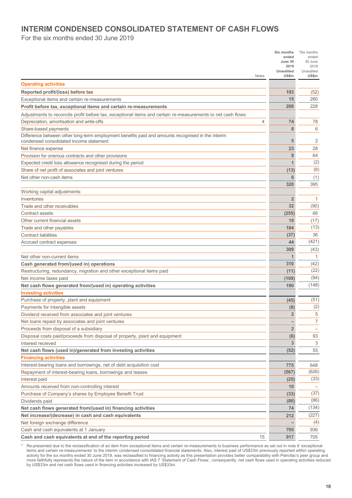### **INTERIM CONDENSED CONSOLIDATED STATEMENT OF CASH FLOWS**

For the six months ended 30 June 2019

|                                                                                                              | Six months<br>ended      | *Six months<br>ended     |
|--------------------------------------------------------------------------------------------------------------|--------------------------|--------------------------|
|                                                                                                              | June 30                  | 30 June                  |
|                                                                                                              | 2019<br><b>Unaudited</b> | 2018<br>Unaudited        |
| Notes                                                                                                        | US\$m                    | US\$m                    |
| <b>Operating activities</b>                                                                                  |                          |                          |
| Reported profit/(loss) before tax                                                                            | 193                      | (52)                     |
| Exceptional items and certain re-measurements                                                                | 15                       | 280                      |
| Profit before tax, exceptional items and certain re-measurements                                             | 208                      | 228                      |
| Adjustments to reconcile profit before tax, exceptional items and certain re-measurements to net cash flows: |                          |                          |
| Depreciation, amortisation and write-offs<br>4                                                               | 74                       | 78                       |
| Share-based payments                                                                                         | 8                        | 6                        |
| Difference between other long-term employment benefits paid and amounts recognised in the interim            |                          |                          |
| condensed consolidated income statement                                                                      | 5                        | 2                        |
| Net finance expense                                                                                          | 23                       | 28                       |
| Provision for onerous contracts and other provisions                                                         | 8                        | 64                       |
| Expected credit loss allowance recognised during the period                                                  |                          | (2)                      |
| Share of net profit of associates and joint ventures                                                         | (13)                     | (8)                      |
| Net other non-cash items                                                                                     | 6                        | (1)                      |
|                                                                                                              | 320                      | 395                      |
| Working capital adjustments:                                                                                 |                          |                          |
| Inventories                                                                                                  | $\overline{2}$           | $\mathbf{1}$             |
| Trade and other receivables                                                                                  | 32                       | (90)                     |
| Contract assets                                                                                              | (255)                    | 66                       |
| Other current financial assets                                                                               | 19                       | (17)                     |
| Trade and other payables                                                                                     | 184                      | (13)                     |
| <b>Contract liabilities</b>                                                                                  | (37)                     | 36                       |
| Accrued contract expenses                                                                                    | 44                       | (421)                    |
|                                                                                                              | 309                      | (43)                     |
| Net other non-current items                                                                                  | 1                        | 1                        |
| Cash generated from/(used in) operations                                                                     | 310                      | (42)<br>(22)             |
| Restructuring, redundancy, migration and other exceptional items paid                                        | (11)                     | (84)                     |
| Net income taxes paid                                                                                        | (109)<br>190             | (148)                    |
| Net cash flows generated from/(used in) operating activities<br><b>Investing activities</b>                  |                          |                          |
| Purchase of property, plant and equipment                                                                    | (45)                     | (51)                     |
| Payments for intangible assets                                                                               | (8)                      | (2)                      |
| Dividend received from associates and joint ventures                                                         | $\overline{2}$           | 5                        |
| Net loans repaid by associates and joint ventures                                                            | -                        | $\overline{7}$           |
| Proceeds from disposal of a subsidiary                                                                       | $\overline{2}$           | $\overline{\phantom{0}}$ |
| Disposal costs paid/proceeds from disposal of property, plant and equipment                                  | (6)                      | 93                       |
| Interest received                                                                                            | 3                        | 3                        |
| Net cash flows (used in)/generated from investing activities                                                 | (52)                     | 55                       |
| <b>Financing activities</b>                                                                                  |                          |                          |
| Interest-bearing loans and borrowings, net of debt acquisition cost                                          | 775                      | 648                      |
| Repayment of interest-bearing loans, borrowings and leases                                                   | (567)                    | (626)                    |
| Interest paid                                                                                                | (25)                     | (33)                     |
| Amounts received from non-controlling interest                                                               | 10                       |                          |
| Purchase of Company's shares by Employee Benefit Trust                                                       | (33)                     | (37)                     |
| Dividends paid                                                                                               | (86)                     | (86)                     |
| Net cash flows generated from/(used in) financing activities                                                 | 74                       | (134)                    |
| Net increase/(decrease) in cash and cash equivalents                                                         | 212                      | (227)                    |
| Net foreign exchange difference                                                                              |                          | (4)                      |
| Cash and cash equivalents at 1 January                                                                       | 705                      | 936                      |
| Cash and cash equivalents at end of the reporting period<br>15                                               | 917                      | 705                      |

\* Re-presented due to the reclassification of an item from exceptional items and certain re-measurements to business performance as set out in note 6 'exceptional items and certain re-measurements' to the interim condensed consolidated financial statements. Also, interest paid of US\$33m previously reported within operating activity for the six months ended 30 June 2018, was reclassified to financing activity as this presentation provides better comparability with Petrofac's peer group and more faithfully represents the nature of the item in accordance with IAS 7 'Statement of Cash Flows', consequently, net cash flows used in operating activities reduced by US\$33m and net cash flows used in financing activities increased by US\$33m.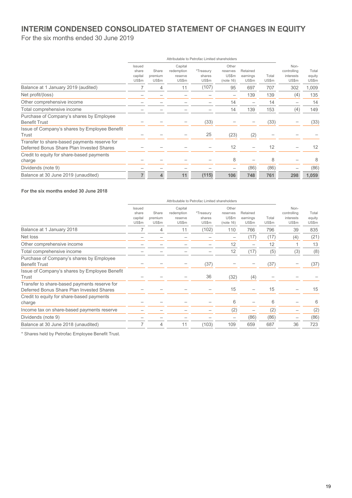### **INTERIM CONDENSED CONSOLIDATED STATEMENT OF CHANGES IN EQUITY**

For the six months ended 30 June 2019

|                                                                                           |                                     | Attributable to Petrofac Limited shareholders |                                           |                              |                                         |                               |                |                                           |                          |  |
|-------------------------------------------------------------------------------------------|-------------------------------------|-----------------------------------------------|-------------------------------------------|------------------------------|-----------------------------------------|-------------------------------|----------------|-------------------------------------------|--------------------------|--|
|                                                                                           | Issued<br>share<br>capital<br>US\$m | Share<br>premium<br>US\$m                     | Capital<br>redemption<br>reserve<br>US\$m | *Treasury<br>shares<br>US\$m | Other<br>reserves<br>US\$m<br>(note 16) | Retained<br>earnings<br>US\$m | Total<br>US\$m | Non-<br>controlling<br>interests<br>US\$m | Total<br>equity<br>US\$m |  |
| Balance at 1 January 2019 (audited)                                                       | 7                                   | 4                                             | 11                                        | (107)                        | 95                                      | 697                           | 707            | 302                                       | 1,009                    |  |
| Net profit/(loss)                                                                         |                                     |                                               |                                           |                              |                                         | 139                           | 139            | (4)                                       | 135                      |  |
| Other comprehensive income                                                                |                                     |                                               |                                           |                              | 14                                      |                               | 14             |                                           | 14                       |  |
| Total comprehensive income                                                                |                                     |                                               |                                           |                              | 14                                      | 139                           | 153            | (4)                                       | 149                      |  |
| Purchase of Company's shares by Employee<br><b>Benefit Trust</b>                          |                                     |                                               |                                           | (33)                         |                                         |                               | (33)           |                                           | (33)                     |  |
| Issue of Company's shares by Employee Benefit<br>Trust                                    |                                     |                                               |                                           | 25                           | (23)                                    | (2)                           |                |                                           |                          |  |
| Transfer to share-based payments reserve for<br>Deferred Bonus Share Plan Invested Shares |                                     |                                               |                                           |                              | 12                                      |                               | 12             |                                           | 12                       |  |
| Credit to equity for share-based payments<br>charge                                       |                                     |                                               |                                           |                              | 8                                       |                               | 8              |                                           | 8                        |  |
| Dividends (note 9)                                                                        |                                     |                                               |                                           |                              |                                         | (86)                          | (86)           |                                           | (86)                     |  |
| Balance at 30 June 2019 (unaudited)                                                       | 7                                   | 4                                             | 11                                        | (115)                        | 106                                     | 748                           | 761            | 298                                       | 1,059                    |  |

#### **For the six months ended 30 June 2018**

|                                                                                           | Issued<br>share<br>capital<br>US\$m | Share<br>premium<br>US\$m | Capital<br>redemption<br>reserve<br>US\$m | *Treasury<br>shares<br>US\$m | Other<br>reserves<br>US\$m<br>(note 16) | Retained<br>earnings<br>US\$m | Total<br>US\$m | Non-<br>controlling<br>interests<br>US\$m | Total<br>equity<br>US\$m |
|-------------------------------------------------------------------------------------------|-------------------------------------|---------------------------|-------------------------------------------|------------------------------|-----------------------------------------|-------------------------------|----------------|-------------------------------------------|--------------------------|
| Balance at 1 January 2018                                                                 |                                     | 4                         | 11                                        | (102)                        | 110                                     | 766                           | 796            | 39                                        | 835                      |
| Net loss                                                                                  |                                     |                           |                                           |                              |                                         | (17)                          | (17)           | (4)                                       | (21)                     |
| Other comprehensive income                                                                |                                     |                           |                                           |                              | 12                                      | $\overline{\phantom{0}}$      | 12             |                                           | 13                       |
| Total comprehensive income                                                                |                                     |                           |                                           |                              | 12                                      | (17)                          | (5)            | (3)                                       | (8)                      |
| Purchase of Company's shares by Employee<br><b>Benefit Trust</b>                          |                                     |                           |                                           | (37)                         |                                         |                               | (37)           |                                           | (37)                     |
| Issue of Company's shares by Employee Benefit<br>Trust                                    |                                     |                           |                                           | 36                           | (32)                                    | (4)                           |                |                                           |                          |
| Transfer to share-based payments reserve for<br>Deferred Bonus Share Plan Invested Shares |                                     |                           |                                           |                              | 15                                      |                               | 15             |                                           | 15                       |
| Credit to equity for share-based payments<br>charge                                       |                                     |                           |                                           |                              | 6                                       |                               | 6              |                                           | 6                        |
| Income tax on share-based payments reserve                                                |                                     |                           |                                           |                              | (2)                                     |                               | (2)            |                                           | (2)                      |
| Dividends (note 9)                                                                        |                                     |                           |                                           |                              |                                         | (86)                          | (86)           |                                           | (86)                     |
| Balance at 30 June 2018 (unaudited)                                                       |                                     | 4                         | 11                                        | (103)                        | 109                                     | 659                           | 687            | 36                                        | 723                      |
|                                                                                           |                                     |                           |                                           |                              |                                         |                               |                |                                           |                          |

\* Shares held by Petrofac Employee Benefit Trust.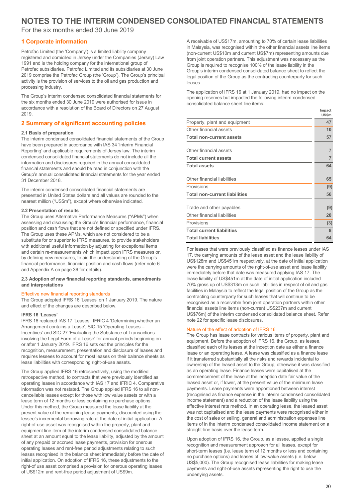### **NOTES TO THE INTERIM CONDENSED CONSOLIDATED FINANCIAL STATEMENTS**

For the six months ended 30 June 2019

#### **1 Corporate information**

Petrofac Limited (the 'Company') is a limited liability company registered and domiciled in Jersey under the Companies (Jersey) Law 1991 and is the holding company for the international group of Petrofac subsidiaries. Petrofac Limited and its subsidiaries at 30 June 2019 comprise the Petrofac Group (the 'Group'). The Group's principal activity is the provision of services to the oil and gas production and processing industry.

The Group's interim condensed consolidated financial statements for the six months ended 30 June 2019 were authorised for issue in accordance with a resolution of the Board of Directors on 27 August 2019.

#### **2 Summary of significant accounting policies**

#### **2.1 Basis of preparation**

The interim condensed consolidated financial statements of the Group have been prepared in accordance with IAS 34 'Interim Financial Reporting' and applicable requirements of Jersey law. The interim condensed consolidated financial statements do not include all the information and disclosures required in the annual consolidated financial statements and should be read in conjunction with the Group's annual consolidated financial statements for the year ended 31 December 2018.

The interim condensed consolidated financial statements are presented in United States dollars and all values are rounded to the nearest million ("US\$m"), except where otherwise indicated.

#### **2.2 Presentation of results**

The Group uses Alternative Performance Measures ("APMs") when assessing and discussing the Group's financial performance, financial position and cash flows that are not defined or specified under IFRS. The Group uses these APMs, which are not considered to be a substitute for or superior to IFRS measures, to provide stakeholders with additional useful information by adjusting for exceptional items and certain re-measurements which impact upon IFRS measures or, by defining new measures, to aid the understanding of the Group's financial performance, financial position and cash flows (refer note 6 and Appendix A on page 36 for details).

#### **2.3 Adoption of new financial reporting standards, amendments and interpretations**

#### Effective new financial reporting standards

The Group adopted IFRS 16 'Leases' on 1 January 2019. The nature and effect of the changes are described below.

#### **IFRS 16 'Leases'**

IFRS 16 replaced IAS 17 'Leases', IFRIC 4 'Determining whether an Arrangement contains a Lease', SIC-15 'Operating Leases – Incentives' and SIC-27 'Evaluating the Substance of Transactions involving the Legal Form of a Lease' for annual periods beginning on or after 1 January 2019. IFRS 16 sets out the principles for the recognition, measurement, presentation and disclosure of leases and requires lessees to account for most leases on their balance sheets as lease liabilities with corresponding right-of-use assets.

The Group applied IFRS 16 retrospectively, using the modified retrospective method, to contracts that were previously identified as operating leases in accordance with IAS 17 and IFRIC 4. Comparative information was not restated. The Group applied IFRS 16 to all noncancellable leases except for those with low value assets or with a lease term of 12 months or less containing no purchase options. Under this method, the Group measured the lease liability at the present value of the remaining lease payments, discounted using the lessee's incremental borrowing rate at the date of initial application. A right-of-use asset was recognised within the property, plant and equipment line item of the interim condensed consolidated balance sheet at an amount equal to the lease liability, adjusted by the amount of any prepaid or accrued lease payments, provision for onerous operating leases and rent-free period adjustments relating to such leases recognised in the balance sheet immediately before the date of initial application. On adoption of IFRS 16, these adjustments to the right-of use asset comprised a provision for onerous operating leases of US\$12m and rent-free period adjustment of US\$9m.

A receivable of US\$17m, amounting to 70% of certain lease liabilities in Malaysia, was recognised within the other financial assets line items (non-current US\$10m and current US\$7m) representing amounts due from joint operation partners. This adjustment was necessary as the Group is required to recognise 100% of the lease liability in the Group's interim condensed consolidated balance sheet to reflect the legal position of the Group as the contracting counterparty for such leases.

The application of IFRS 16 at 1 January 2019, had no impact on the opening reserves but impacted the following interim condensed consolidated balance sheet line items:

|                                      | Impact<br><b>US\$m</b> |
|--------------------------------------|------------------------|
| Property, plant and equipment        | 47                     |
| Other financial assets               | 10                     |
| <b>Total non-current assets</b>      | 57                     |
| Other financial assets               | $\overline{7}$         |
| <b>Total current assets</b>          | $\overline{7}$         |
| <b>Total assets</b>                  | 64                     |
| Other financial liabilities          | 65                     |
| Provisions                           | (9)                    |
| <b>Total non-current liabilities</b> | 56                     |
| Trade and other payables             | (9)                    |
| Other financial liabilities          | 20                     |
| Provisions                           | (3)                    |
| <b>Total current liabilities</b>     | 8                      |
| <b>Total liabilities</b>             | 64                     |

For leases that were previously classified as finance leases under IAS 17, the carrying amounts of the lease asset and the lease liability of US\$128m and US\$451m respectively, at the date of initial application were the carrying amounts of the right-of-use asset and lease liability immediately before that date was measured applying IAS 17. The lease liability of US\$451m at the date of initial application included 70% gross up of US\$313m on such liabilities in respect of oil and gas facilities in Malaysia to reflect the legal position of the Group as the contracting counterparty for such leases that will continue to be recognised as a receivable from joint operation partners within other financial assets line items (non-current US\$237m and current US\$76m) of the interim condensed consolidated balance sheet. Refer note 22 for specific lease disclosures.

#### Nature of the effect of adoption of IFRS 16

The Group has lease contracts for various items of property, plant and equipment. Before the adoption of IFRS 16, the Group, as lessee, classified each of its leases at the inception date as either a finance lease or an operating lease. A lease was classified as a finance lease if it transferred substantially all the risks and rewards incidental to ownership of the leased asset to the Group; otherwise it was classified as an operating lease. Finance leases were capitalised at the commencement of the lease at the inception date fair value of the leased asset or, if lower, at the present value of the minimum lease payments. Lease payments were apportioned between interest (recognised as finance expense in the interim condensed consolidated income statement) and a reduction of the lease liability using the effective interest rate method. In an operating lease, the leased asset was not capitalised and the lease payments were recognised either in the cost of sales or selling, general and administration expenses line items of in the interim condensed consolidated income statement on a straight-line basis over the lease term.

Upon adoption of IFRS 16, the Group, as a lessee, applied a single recognition and measurement approach for all leases, except for short-term leases (i.e. lease term of 12 months or less and containing no purchase options) and leases of low-value assets (i.e. below US\$5,000). The Group recognised lease liabilities for making lease payments and right-of-use assets representing the right to use the underlying assets.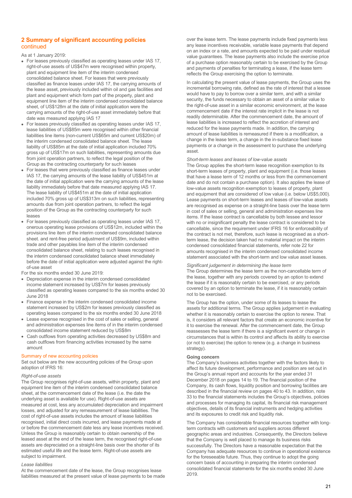#### **2 Summary of significant accounting policies** continued

As at 1 January 2019:

- For leases previously classified as operating leases under IAS 17, right-of-use assets of US\$47m were recognised within property, plant and equipment line item of the interim condensed consolidated balance sheet. For leases that were previously classified as finance leases under IAS 17, the carrying amounts of the lease asset, previously included within oil and gas facilities and plant and equipment which form part of the property, plant and equipment line item of the interim condensed consolidated balance sheet, of US\$128m at the date of initial application were the carrying amounts of the right-of-use asset immediately before that date was measured applying IAS 17
- For leases previously classified as operating leases under IAS 17, lease liabilities of US\$85m were recognised within other financial liabilities line items (non-current US\$65m and current US\$20m) of the interim condensed consolidated balance sheet. The lease liability of US\$85m at the date of initial application included 70% gross up of US\$17m on such liabilities, representing amounts due from joint operation partners, to reflect the legal position of the Group as the contracting counterparty for such leases
- For leases that were previously classified as finance leases under IAS 17, the carrying amounts of the lease liability of US\$451m at the date of initial application were the carrying amounts of the lease liability immediately before that date measured applying IAS 17. The lease liability of US\$451m at the date of initial application included 70% gross up of US\$313m on such liabilities, representing amounts due from joint operation partners, to reflect the legal position of the Group as the contracting counterparty for such leases
- For leases previously classified as operating leases under IAS 17, onerous operating lease provisions of US\$12m, included within the provisions line item of the interim condensed consolidated balance sheet. and rent-free period adjustment of US\$9m, included within trade and other payables line item of the interim condensed consolidated balance sheet, relating to such leases recognised in the interim condensed consolidated balance sheet immediately before the date of initial application were adjusted against the rightof-use asset
- For the six months ended 30 June 2019:
- Depreciation expense in the interim condensed consolidated income statement increased by US\$7m for leases previously classified as operating leases compared to the six months ended 30 June 2018
- Finance expense in the interim condensed consolidated income statement increased by US\$2m for leases previously classified as operating leases compared to the six months ended 30 June 2018
- Lease expense recognised in the cost of sales or selling, general and administration expenses line items of in the interim condensed consolidated income statement reduced by US\$8m
- Cash outflows from operating activities decreased by US\$8m and cash outflows from financing activities increased by the same amount

#### Summary of new accounting policies

Set out below are the new accounting policies of the Group upon adoption of IFRS 16:

#### *Right-of-use assets*

The Group recognises right-of-use assets, within property, plant and equipment line item of the interim condensed consolidated balance sheet, at the commencement date of the lease (i.e. the date the underlying asset is available for use). Right-of-use assets are measured at cost, less any accumulated depreciation and impairment losses, and adjusted for any remeasurement of lease liabilities. The cost of right-of-use assets includes the amount of lease liabilities recognised, initial direct costs incurred, and lease payments made at or before the commencement date less any lease incentives received. Unless the Group is reasonably certain to obtain ownership of the leased asset at the end of the lease term, the recognised right-of-use assets are depreciated on a straight-line basis over the shorter of its estimated useful life and the lease term. Right-of-use assets are subject to impairment.

#### *Lease liabilities*

At the commencement date of the lease, the Group recognises lease liabilities measured at the present value of lease payments to be made over the lease term. The lease payments include fixed payments less any lease incentives receivable, variable lease payments that depend on an index or a rate, and amounts expected to be paid under residual value guarantees. The lease payments also include the exercise price of a purchase option reasonably certain to be exercised by the Group and payments of penalties for terminating a lease, if the lease term reflects the Group exercising the option to terminate.

In calculating the present value of lease payments, the Group uses the incremental borrowing rate, defined as the rate of interest that a lessee would have to pay to borrow over a similar term, and with a similar security, the funds necessary to obtain an asset of a similar value to the right-of-use asset in a similar economic environment, at the lease commencement date if the interest rate implicit in the lease is not readily determinable. After the commencement date, the amount of lease liabilities is increased to reflect the accretion of interest and reduced for the lease payments made. In addition, the carrying amount of lease liabilities is remeasured if there is a modification, a change in the lease term, a change in the in-substance fixed lease payments or a change in the assessment to purchase the underlying asset.

#### *Short-term leases and leases of low-value assets*

The Group applies the short-term lease recognition exemption to its short-term leases of property, plant and equipment (i.e. those leases that have a lease term of 12 months or less from the commencement date and do not contain a purchase option). It also applies the lease of low-value assets recognition exemption to leases of property, plant and equipment that are considered of low value (i.e. below US\$5,000). Lease payments on short-term leases and leases of low-value assets are recognised as expense on a straight-line basis over the lease term in cost of sales or selling, general and administration expenses line items. If the lease contract is cancellable by both lessee and lessor with no or insignificant penalty the lease contract is considered to be cancellable, since the requirement under IFRS 16 for enforceability of the contract is not met, therefore, such lease is recognised as a shortterm lease, the decision taken had no material impact on the interim condensed consolidated financial statements, refer note 22 for amounts recognised in the interim condensed consolidated income statement associated with the short-term and low value asset leases.

#### *Significant judgement in determining the lease term*

The Group determines the lease term as the non-cancellable term of the lease, together with any periods covered by an option to extend the lease if it is reasonably certain to be exercised, or any periods covered by an option to terminate the lease, if it is reasonably certain not to be exercised.

The Group has the option, under some of its leases to lease the assets for additional terms. The Group applies judgement in evaluating whether it is reasonably certain to exercise the option to renew. That is, it considers all relevant factors that create an economic incentive for it to exercise the renewal. After the commencement date, the Group reassesses the lease term if there is a significant event or change in circumstances that is within its control and affects its ability to exercise (or not to exercise) the option to renew (e.g. a change in business strategy).

#### **Going concern**

The Company's business activities together with the factors likely to affect its future development, performance and position are set out in the Group's annual report and accounts for the year ended 31 December 2018 on pages 14 to 19. The financial position of the Company, its cash flows, liquidity position and borrowing facilities are described in the financial review on pages 40 to 43. In addition, note 33 to the financial statements includes the Group's objectives, policies and processes for managing its capital, its financial risk management objectives, details of its financial instruments and hedging activities and its exposures to credit risk and liquidity risk.

The Company has considerable financial resources together with longterm contracts with customers and suppliers across different geographic areas and industries. Consequently, the Directors believe that the Company is well placed to manage its business risks successfully. The Directors have a reasonable expectation that the Company has adequate resources to continue in operational existence for the foreseeable future. Thus, they continue to adopt the going concern basis of accounting in preparing the interim condensed consolidated financial statements for the six months ended 30 June 2019.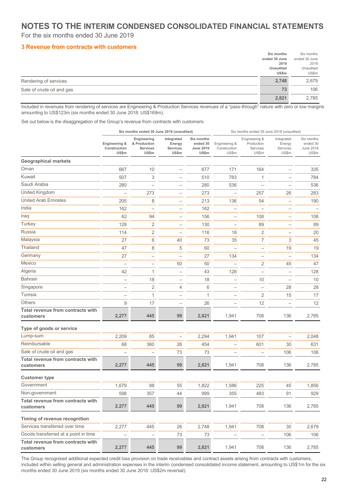### **NOTES TO THE INTERIM CONDENSED CONSOLIDATED FINANCIAL STATEMENTS**

For the six months ended 30 June 2019

#### **3 Revenue from contracts with customers**

|                           | Six months       | Six months    |
|---------------------------|------------------|---------------|
|                           | ended 30 June    | ended 30 June |
|                           | 2019             | 2018          |
|                           | <b>Unaudited</b> | Unaudited     |
|                           | <b>US\$m</b>     | US\$m         |
| Rendering of services     | 2,748            | 2,679         |
| Sale of crude oil and gas | 73               | 106           |
|                           | 2,821            | 2,785         |

Included in revenues from rendering of services are Engineering & Production Services revenues of a "pass-through" nature with zero or low margins amounting to US\$123m (six months ended 30 June 2018: US\$169m).

Set out below is the disaggregation of the Group's revenue from contracts with customers:

|                                                |                                        | Six months ended 30 June 2019 (unaudited)               |                                           |                                              |                                        | Six months ended 30 June 2018 (unaudited)        |                                           |                                                     |
|------------------------------------------------|----------------------------------------|---------------------------------------------------------|-------------------------------------------|----------------------------------------------|----------------------------------------|--------------------------------------------------|-------------------------------------------|-----------------------------------------------------|
|                                                | Engineering &<br>Construction<br>US\$m | Engineering<br>& Production<br><b>Services</b><br>US\$m | Integrated<br>Energy<br>Services<br>US\$m | Six months<br>ended 30<br>June 2019<br>US\$m | Engineering &<br>Construction<br>US\$m | Engineering &<br>Production<br>Services<br>US\$m | Integrated<br>Energy<br>Services<br>US\$m | Six months<br>ended 30<br><b>June 2018</b><br>US\$m |
| <b>Geographical markets</b>                    |                                        |                                                         |                                           |                                              |                                        |                                                  |                                           |                                                     |
| Oman                                           | 667                                    | 10                                                      |                                           | 677                                          | 171                                    | 164                                              |                                           | 335                                                 |
| Kuwait                                         | 507                                    | 3                                                       | $\overline{\phantom{0}}$                  | 510                                          | 783                                    | 1                                                |                                           | 784                                                 |
| Saudi Arabia                                   | 280                                    |                                                         |                                           | 280                                          | 536                                    |                                                  |                                           | 536                                                 |
| United Kingdom                                 |                                        | 273                                                     |                                           | 273                                          |                                        | 257                                              | 26                                        | 283                                                 |
| <b>United Arab Emirates</b>                    | 205                                    | 8                                                       | $\overline{\phantom{0}}$                  | 213                                          | 136                                    | 54                                               | $\overline{\phantom{0}}$                  | 190                                                 |
| India                                          | 162                                    |                                                         |                                           | 162                                          |                                        |                                                  | $\overline{\phantom{0}}$                  |                                                     |
| Iraq                                           | 62                                     | 94                                                      |                                           | 156                                          |                                        | 108                                              |                                           | 108                                                 |
| Turkey                                         | 128                                    | 2                                                       | $\overline{\phantom{0}}$                  | 130                                          |                                        | 89                                               | $\overline{\phantom{0}}$                  | 89                                                  |
| Russia                                         | 114                                    | 2                                                       | $\overline{\phantom{0}}$                  | 116                                          | 18                                     | $\overline{2}$                                   | $\overline{\phantom{0}}$                  | 20                                                  |
| Malaysia                                       | 27                                     | 6                                                       | 40                                        | 73                                           | 35                                     | 7                                                | 3                                         | 45                                                  |
| Thailand                                       | 47                                     | 8                                                       | 5                                         | 60                                           |                                        | $\overline{\phantom{0}}$                         | 19                                        | 19                                                  |
| Germany                                        | 27                                     | $\overline{\phantom{0}}$                                | $\overline{\phantom{0}}$                  | 27                                           | 134                                    | $\overline{\phantom{0}}$                         | $\overline{\phantom{0}}$                  | 134                                                 |
| Mexico                                         |                                        | $\overline{\phantom{0}}$                                | 50                                        | 50                                           |                                        | $\overline{2}$                                   | 45                                        | 47                                                  |
| Algeria                                        | 42                                     | 1                                                       | $\overline{\phantom{0}}$                  | 43                                           | 128                                    | $\overline{\phantom{0}}$                         | $\overline{\phantom{0}}$                  | 128                                                 |
| <b>Bahrain</b>                                 |                                        | 18                                                      | $\overline{\phantom{0}}$                  | 18                                           |                                        | 10                                               | $\overline{\phantom{0}}$                  | 10                                                  |
| Singapore                                      |                                        | $\sqrt{2}$                                              | 4                                         | 6                                            | $\overline{\phantom{0}}$               | $\overline{\phantom{0}}$                         | 28                                        | 28                                                  |
| Tunisia                                        |                                        | 1                                                       |                                           | $\mathbf{1}$                                 |                                        | $\overline{2}$                                   | 15                                        | 17                                                  |
| <b>Others</b>                                  | 9                                      | 17                                                      |                                           | 26                                           |                                        | 12                                               |                                           | 12                                                  |
| Total revenue from contracts with<br>customers | 2,277                                  | 445                                                     | 99                                        | 2,821                                        | 1,941                                  | 708                                              | 136                                       | 2,785                                               |
| Type of goods or service                       |                                        |                                                         |                                           |                                              |                                        |                                                  |                                           |                                                     |
| Lump-sum                                       | 2,209                                  | 85                                                      | $\overline{\phantom{0}}$                  | 2,294                                        | 1,941                                  | 107                                              | $\overline{\phantom{0}}$                  | 2,048                                               |
| Reimbursable                                   | 68                                     | 360                                                     | 26                                        | 454                                          |                                        | 601                                              | 30                                        | 631                                                 |
| Sale of crude oil and gas                      |                                        | -                                                       | 73                                        | 73                                           |                                        |                                                  | 106                                       | 106                                                 |
| Total revenue from contracts with<br>customers | 2,277                                  | 445                                                     | 99                                        | 2,821                                        | 1,941                                  | 708                                              | 136                                       | 2,785                                               |
| <b>Customer type</b>                           |                                        |                                                         |                                           |                                              |                                        |                                                  |                                           |                                                     |
| Government                                     | 1,679                                  | 88                                                      | 55                                        | 1,822                                        | 1,586                                  | 225                                              | 45                                        | 1,856                                               |
| Non-government                                 | 598                                    | 357                                                     | 44                                        | 999                                          | 355                                    | 483                                              | 91                                        | 929                                                 |
| Total revenue from contracts with<br>customers | 2,277                                  | 445                                                     | 99                                        | 2,821                                        | 1,941                                  | 708                                              | 136                                       | 2,785                                               |
| Timing of revenue recognition                  |                                        |                                                         |                                           |                                              |                                        |                                                  |                                           |                                                     |
| Services transferred over time                 | 2,277                                  | 445                                                     | 26                                        | 2,748                                        | 1,941                                  | 708                                              | 30                                        | 2,679                                               |
| Goods transferred at a point in time           |                                        | $\overline{\phantom{0}}$                                | 73                                        | 73                                           |                                        | $\overline{\phantom{0}}$                         | 106                                       | 106                                                 |
| Total revenue from contracts with<br>customers | 2,277                                  | 445                                                     | 99                                        | 2,821                                        | 1,941                                  | 708                                              | 136                                       | 2,785                                               |

The Group recognised additional expected credit loss provision on trade receivables and contract assets arising from contracts with customers, included within selling general and administration expenses in the interim condensed consolidated income statement, amounting to US\$1m for the six months ended 30 June 2019 (six months ended 30 June 2018: US\$2m reversal).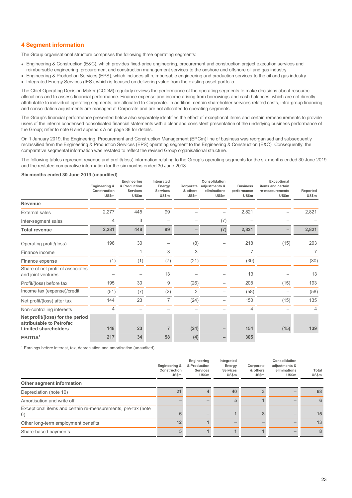#### **4 Segment information**

The Group organisational structure comprises the following three operating segments:

- Engineering & Construction (E&C), which provides fixed-price engineering, procurement and construction project execution services and reimbursable engineering, procurement and construction management services to the onshore and offshore oil and gas industry
- Engineering & Production Services (EPS), which includes all reimbursable engineering and production services to the oil and gas industry • Integrated Energy Services (IES), which is focused on delivering value from the existing asset portfolio

The Chief Operating Decision Maker (CODM) regularly reviews the performance of the operating segments to make decisions about resource allocations and to assess financial performance. Finance expense and income arising from borrowings and cash balances, which are not directly attributable to individual operating segments, are allocated to Corporate. In addition, certain shareholder services related costs, intra-group financing and consolidation adjustments are managed at Corporate and are not allocated to operating segments.

The Group's financial performance presented below also separately identifies the effect of exceptional items and certain remeasurements to provide users of the interim condensed consolidated financial statements with a clear and consistent presentation of the underlying business performance of the Group; refer to note 6 and appendix A on page 36 for details.

On 1 January 2019, the Engineering, Procurement and Construction Management (EPCm) line of business was reorganised and subsequently reclassified from the Engineering & Production Services (EPS) operating segment to the Engineering & Construction (E&C). Consequently, the comparative segmental information was restated to reflect the revised Group organisational structure.

The following tables represent revenue and profit/(loss) information relating to the Group's operating segments for the six months ended 30 June 2019 and the restated comparative information for the six months ended 30 June 2018:

#### **Six months ended 30 June 2019 (unaudited)**

|                                                                                             | Engineering &<br>Construction<br>US\$m | Engineering<br>& Production<br><b>Services</b><br>US\$m | Integrated<br>Energy<br>Services<br>US\$m | Corporate<br>& others<br>US\$m | Consolidation<br>adjustments &<br>eliminations<br>US\$m | <b>Business</b><br>performance<br>US\$m | Exceptional<br>items and certain<br>re-measurements<br>US\$m | Reported<br>US\$m |
|---------------------------------------------------------------------------------------------|----------------------------------------|---------------------------------------------------------|-------------------------------------------|--------------------------------|---------------------------------------------------------|-----------------------------------------|--------------------------------------------------------------|-------------------|
| <b>Revenue</b>                                                                              |                                        |                                                         |                                           |                                |                                                         |                                         |                                                              |                   |
| External sales                                                                              | 2,277                                  | 445                                                     | 99                                        |                                |                                                         | 2,821                                   |                                                              | 2,821             |
| Inter-segment sales                                                                         | 4                                      | 3                                                       |                                           |                                | (7)                                                     |                                         |                                                              |                   |
| <b>Total revenue</b>                                                                        | 2,281                                  | 448                                                     | 99                                        | -                              | (7)                                                     | 2,821                                   |                                                              | 2,821             |
| Operating profit/(loss)                                                                     | 196                                    | 30                                                      |                                           | (8)                            |                                                         | 218                                     | (15)                                                         | 203               |
| Finance income                                                                              |                                        | 1                                                       | 3                                         | 3                              |                                                         | $\overline{7}$                          |                                                              | 7                 |
| Finance expense                                                                             | (1)                                    | (1)                                                     | (7)                                       | (21)                           |                                                         | (30)                                    |                                                              | (30)              |
| Share of net profit of associates<br>and joint ventures                                     |                                        |                                                         | 13                                        |                                |                                                         | 13                                      |                                                              | 13                |
| Profit/(loss) before tax                                                                    | 195                                    | 30                                                      | 9                                         | (26)                           |                                                         | 208                                     | (15)                                                         | 193               |
| Income tax (expense)/credit                                                                 | (51)                                   | (7)                                                     | (2)                                       | 2                              |                                                         | (58)                                    |                                                              | (58)              |
| Net profit/(loss) after tax                                                                 | 144                                    | 23                                                      | 7                                         | (24)                           |                                                         | 150                                     | (15)                                                         | 135               |
| Non-controlling interests                                                                   | 4                                      |                                                         |                                           |                                |                                                         | $\overline{4}$                          |                                                              | $\overline{4}$    |
| Net profit/(loss) for the period<br>attributable to Petrofac<br><b>Limited shareholders</b> | 148                                    | 23                                                      |                                           | (24)                           |                                                         | 154                                     | (15)                                                         | 139               |
| EBITDA <sup>1</sup>                                                                         | 217                                    | 34                                                      | 58                                        | (4)                            |                                                         | 305                                     |                                                              |                   |

<sup>1</sup> Earnings before interest, tax, depreciation and amortisation (unaudited).

|                                                                    | Engineering &<br>Construction<br>US\$m | Engineering<br>& Production<br>Services<br>US\$m | Integrated<br>Energy<br><b>Services</b><br>US\$m | Corporate<br>& others<br>US\$m | Consolidation<br>adjustments &<br>eliminations<br>US\$m | Total<br>US\$m |
|--------------------------------------------------------------------|----------------------------------------|--------------------------------------------------|--------------------------------------------------|--------------------------------|---------------------------------------------------------|----------------|
| Other segment information                                          |                                        |                                                  |                                                  |                                |                                                         |                |
| Depreciation (note 10)                                             | 21                                     |                                                  | 40                                               |                                |                                                         | 68             |
| Amortisation and write off                                         |                                        |                                                  |                                                  |                                |                                                         | 6              |
| Exceptional items and certain re-measurements, pre-tax (note<br>6) | h                                      |                                                  |                                                  | 8                              |                                                         | 15             |
| Other long-term employment benefits                                | 12                                     |                                                  |                                                  |                                |                                                         | 13             |
| Share-based payments                                               |                                        |                                                  |                                                  |                                |                                                         | 8              |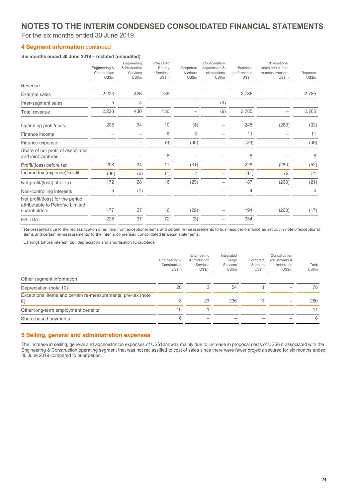### **NOTES TO THE INTERIM CONDENSED CONSOLIDATED FINANCIAL STATEMENTS**

For the six months ended 30 June 2019

#### **4 Segment information** continued

#### **Six months ended 30 June 2018 – restated (unaudited)**

|                                                                                      | Engineering &<br>Construction<br>US\$m | Engineering<br>& Production<br>Services<br>US\$m | Integrated<br>Energy<br>Services<br>US\$m | Corporate<br>& others<br>US\$m | Consolidation<br>adjustments &<br>eliminations<br>US\$m | *Business<br>performance<br>US\$m | *Exceptional<br>items and certain<br>re-measurements<br>US\$m | Reported<br>US\$m |
|--------------------------------------------------------------------------------------|----------------------------------------|--------------------------------------------------|-------------------------------------------|--------------------------------|---------------------------------------------------------|-----------------------------------|---------------------------------------------------------------|-------------------|
| Revenue                                                                              |                                        |                                                  |                                           |                                |                                                         |                                   |                                                               |                   |
| <b>External sales</b>                                                                | 2,223                                  | 426                                              | 136                                       |                                |                                                         | 2,785                             |                                                               | 2,785             |
| Inter-segment sales                                                                  | 5                                      | 4                                                |                                           |                                | (9)                                                     |                                   |                                                               |                   |
| Total revenue                                                                        | 2,228                                  | 430                                              | 136                                       |                                | (9)                                                     | 2,785                             |                                                               | 2,785             |
| Operating profit/(loss)                                                              | 208                                    | 34                                               | 10                                        | (4)                            |                                                         | 248                               | (280)                                                         | (32)              |
| Finance income                                                                       |                                        |                                                  | 8                                         | 3                              |                                                         | 11                                |                                                               | 11                |
| Finance expense                                                                      |                                        |                                                  | (9)                                       | (30)                           |                                                         | (39)                              |                                                               | (39)              |
| Share of net profit of associates<br>and joint ventures                              |                                        |                                                  | 8                                         |                                |                                                         | 8                                 |                                                               | 8                 |
| Profit/(loss) before tax                                                             | 208                                    | 34                                               | 17                                        | (31)                           |                                                         | 228                               | (280)                                                         | (52)              |
| Income tax (expense)/credit                                                          | (36)                                   | (6)                                              | (1)                                       | $\overline{2}$                 |                                                         | (41)                              | 72                                                            | 31                |
| Net profit/(loss) after tax                                                          | 172                                    | 28                                               | 16                                        | (29)                           |                                                         | 187                               | (208)                                                         | (21)              |
| Non-controlling interests                                                            | 5                                      | (1)                                              |                                           |                                |                                                         | $\overline{4}$                    |                                                               | $\overline{4}$    |
| Net profit/(loss) for the period<br>attributable to Petrofac Limited<br>shareholders | 177                                    | 27                                               | 16                                        | (29)                           |                                                         | 191                               | (208)                                                         | (17)              |
| EBITDA <sup>1</sup>                                                                  | 228                                    | 37                                               | 72                                        | (3)                            |                                                         | 334                               |                                                               |                   |

\* Re-presented due to the reclassification of an item from exceptional items and certain re-measurements to business performance as set out in note 6 'exceptional items and certain re-measurements' to the interim condensed consolidated financial statements.

<sup>1</sup> Earnings before interest, tax, depreciation and amortisation (unaudited).

|                                                                    | Engineering &<br>Construction<br>US\$m | Engineering<br>& Production<br>Services<br>US\$m | Integrated<br>Energy<br>Services<br>US\$m | Corporate<br>& others<br>US\$m | Consolidation<br>adjustments &<br>eliminations<br>US\$m | Total<br>US\$m |
|--------------------------------------------------------------------|----------------------------------------|--------------------------------------------------|-------------------------------------------|--------------------------------|---------------------------------------------------------|----------------|
| Other segment information                                          |                                        |                                                  |                                           |                                |                                                         |                |
| Depreciation (note 10)                                             | 20                                     | 3                                                | 54                                        |                                |                                                         | 78             |
| Exceptional items and certain re-measurements, pre-tax (note<br>6) | 8                                      | 23                                               | 236                                       | 13                             |                                                         | 280            |
| Other long-term employment benefits                                | 10                                     |                                                  |                                           |                                |                                                         | 11             |
| Share-based payments                                               | 6                                      |                                                  |                                           |                                |                                                         | 6              |

#### **5 Selling, general and administration expenses**

The increase in selling, general and administration expenses of US\$13m was mainly due to increase in proposal costs of US\$6m associated with the Engineering & Construction operating segment that was not reclassified to cost of sales since there were fewer projects secured for six months ended 30 June 2019 compared to prior period.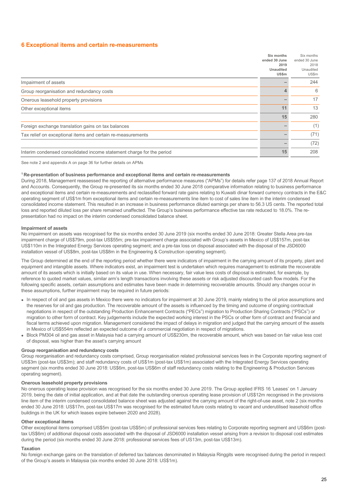#### **6 Exceptional items and certain re-measurements**

|                                                                       | Six months<br>ended 30 June<br>2019<br>Unaudited<br>US\$m | Six months<br>ended 30 June<br>2018<br>Unaudited<br>US\$m |
|-----------------------------------------------------------------------|-----------------------------------------------------------|-----------------------------------------------------------|
| Impairment of assets                                                  |                                                           | 244                                                       |
| Group reorganisation and redundancy costs                             |                                                           | 6                                                         |
| Onerous leasehold property provisions                                 |                                                           | 17                                                        |
| Other exceptional items                                               | 11                                                        | 13                                                        |
|                                                                       | 15                                                        | 280                                                       |
| Foreign exchange translation gains on tax balances                    |                                                           | (1)                                                       |
| Tax relief on exceptional items and certain re-measurements           |                                                           | (71)                                                      |
|                                                                       |                                                           | (72)                                                      |
| Interim condensed consolidated income statement charge for the period | 15                                                        | 208                                                       |

See note 2 and appendix A on page 36 for further details on APMs

#### **<sup>1</sup> Re-presentation of business performance and exceptional items and certain re-measurements**

During 2018, Management reassessed the reporting of alternative performance measures ("APMs") for details refer page 137 of 2018 Annual Report and Accounts. Consequently, the Group re-presented its six months ended 30 June 2018 comparative information relating to business performance and exceptional items and certain re-measurements and reclassified forward rate gains relating to Kuwaiti dinar forward currency contracts in the E&C operating segment of US\$1m from exceptional items and certain re-measurements line item to cost of sales line item in the interim condensed consolidated income statement. This resulted in an increase in business performance diluted earnings per share to 56.3 US cents. The reported total loss and reported diluted loss per share remained unaffected. The Group's business performance effective tax rate reduced to 18.0%. The representation had no impact on the interim condensed consolidated balance sheet.

#### **Impairment of assets**

No impairment on assets was recognised for the six months ended 30 June 2019 (six months ended 30 June 2018: Greater Stella Area pre-tax impairment charge of US\$79m, post-tax US\$55m; pre-tax impairment charge associated with Group's assets in Mexico of US\$157m, post-tax US\$110m in the Integrated Energy Services operating segment; and a pre-tax loss on disposal associated with the disposal of the JSD6000 installation vessel of US\$8m, post-tax US\$8m in the Engineering & Construction operating segment).

The Group determined at the end of the reporting period whether there were indicators of impairment in the carrying amount of its property, plant and equipment and intangible assets. Where indicators exist, an impairment test is undertaken which requires management to estimate the recoverable amount of its assets which is initially based on its value in use. When necessary, fair value less costs of disposal is estimated, for example, by reference to quoted market values, similar arm's length transactions involving these assets or risk adjusted discounted cash flow models. For the following specific assets, certain assumptions and estimates have been made in determining recoverable amounts. Should any changes occur in these assumptions, further impairment may be required in future periods:

- In respect of oil and gas assets in Mexico there were no indicators for impairment at 30 June 2019, mainly relating to the oil price assumptions and the reserves for oil and gas production. The recoverable amount of the assets is influenced by the timing and outcome of ongoing contractual negotiations in respect of the outstanding Production Enhancement Contracts ("PECs") migration to Production Sharing Contracts ("PSCs") or migration to other form of contract. Key judgements include the expected working interest in the PSCs or other form of contract and financial and fiscal terms achieved upon migration. Management considered the impact of delays in migration and judged that the carrying amount of the assets in Mexico of US\$554m reflected an expected outcome of a commercial negotiation in respect of migrations.
- Block PM304 oil and gas asset in Malaysia had a carrying amount of US\$230m, the recoverable amount, which was based on fair value less cost of disposal, was higher than the asset's carrying amount

#### **Group reorganisation and redundancy costs**

Group reorganisation and redundancy costs comprised, Group reorganisation related professional services fees in the Corporate reporting segment of US\$3m (post-tax US\$3m); and staff redundancy costs of US\$1m (post-tax US\$1m) associated with the Integrated Energy Services operating segment (six months ended 30 June 2018: US\$6m, post-tax US\$6m of staff redundancy costs relating to the Engineering & Production Services operating segment).

#### **Onerous leasehold property provisions**

No onerous operating lease provision was recognised for the six months ended 30 June 2019. The Group applied IFRS 16 'Leases' on 1 January 2019, being the date of initial application, and at that date the outstanding onerous operating lease provision of US\$12m recognised in the provisions line item of the interim condensed consolidated balance sheet was adjusted against the carrying amount of the right-of-use asset, note 2 (six months ended 30 June 2018: US\$17m, post-tax US\$17m was recognised for the estimated future costs relating to vacant and underutilised leasehold office buildings in the UK for which leases expire between 2020 and 2028).

#### **Other exceptional items**

Other exceptional items comprised US\$5m (post-tax US\$5m) of professional services fees relating to Corporate reporting segment and US\$6m (posttax US\$6m) of additional disposal costs associated with the disposal of JSD6000 installation vessel arising from a revision to disposal cost estimates during the period (six months ended 30 June 2018: professional services fees of US13m, post-tax US\$13m).

#### **Taxation**

No foreign exchange gains on the translation of deferred tax balances denominated in Malaysia Ringgits were recognised during the period in respect of the Group's assets in Malaysia (six months ended 30 June 2018: US\$1m).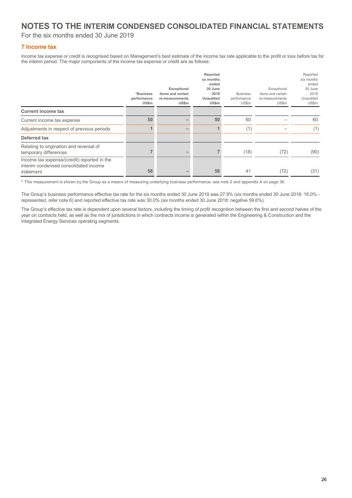### **NOTES TO THE INTERIM CONDENSED CONSOLIDATED FINANCIAL STATEMENTS**

For the six months ended 30 June 2019

#### **7 Income tax**

Income tax expense or credit is recognised based on Management's best estimate of the income tax rate applicable to the profit or loss before tax for the interim period. The major components of the income tax expense or credit are as follows:

|                                                                                                   | *Business<br>performance<br>US\$m | Exceptional<br>items and certain<br>re-measurements<br>US\$m | Reported<br>sx months<br>ended<br>30 June<br>2019<br>Unaudited<br>US\$m | <b>Business</b><br>performance<br>US\$m | Exceptional<br>items and certain<br>re-measurements<br>US\$m | Reported<br>six months<br>ended<br>30 June<br>2018<br>Unaudited<br>US\$m |
|---------------------------------------------------------------------------------------------------|-----------------------------------|--------------------------------------------------------------|-------------------------------------------------------------------------|-----------------------------------------|--------------------------------------------------------------|--------------------------------------------------------------------------|
| <b>Current income tax</b>                                                                         |                                   |                                                              |                                                                         |                                         |                                                              |                                                                          |
| Current income tax expense                                                                        | 50                                |                                                              | 50                                                                      | 60                                      |                                                              | 60                                                                       |
| Adjustments in respect of previous periods                                                        |                                   |                                                              |                                                                         | (1)                                     |                                                              | (1)                                                                      |
| Deferred tax                                                                                      |                                   |                                                              |                                                                         |                                         |                                                              |                                                                          |
| Relating to origination and reversal of<br>temporary differences                                  |                                   |                                                              |                                                                         | (18)                                    | (72)                                                         | (90)                                                                     |
| Income tax expense/(credit) reported in the<br>interim condensed consolidated income<br>statement | 58                                |                                                              | 58                                                                      | 41                                      | (72)                                                         | (31)                                                                     |

\* This measurement is shown by the Group as a means of measuring underlying business performance, see note 2 and appendix A on page 36.

The Group's business performance effective tax rate for the six months ended 30 June 2019 was 27.9% (six months ended 30 June 2018: 18.0% represented, refer note 6) and reported effective tax rate was 30.0% (six months ended 30 June 2018: negative 59.6%).

The Group's effective tax rate is dependent upon several factors, including the timing of profit recognition between the first and second halves of the year on contracts held, as well as the mix of jurisdictions in which contracts income is generated within the Engineering & Construction and the Integrated Energy Services operating segments.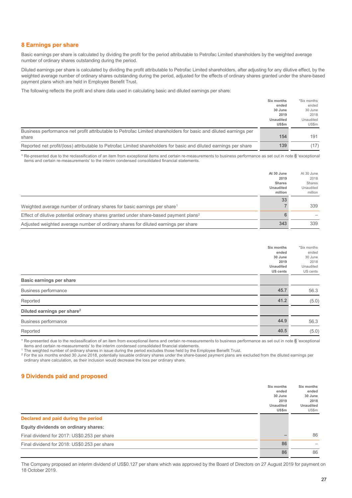#### **8 Earnings per share**

Basic earnings per share is calculated by dividing the profit for the period attributable to Petrofac Limited shareholders by the weighted average number of ordinary shares outstanding during the period.

Diluted earnings per share is calculated by dividing the profit attributable to Petrofac Limited shareholders, after adjusting for any dilutive effect, by the weighted average number of ordinary shares outstanding during the period, adjusted for the effects of ordinary shares granted under the share-based payment plans which are held in Employee Benefit Trust.

The following reflects the profit and share data used in calculating basic and diluted earnings per share:

|                                                                                                                   | Six months<br>ended       | *Six months<br>ended |
|-------------------------------------------------------------------------------------------------------------------|---------------------------|----------------------|
|                                                                                                                   | 30 June<br>2019           | 30 June<br>2018      |
|                                                                                                                   | Unaudited<br><b>US\$m</b> | Unaudited<br>US\$m   |
| Business performance net profit attributable to Petrofac Limited shareholders for basic and diluted earnings per  |                           |                      |
| share                                                                                                             | 154                       | 191                  |
| Reported net profit/(loss) attributable to Petrofac Limited shareholders for basic and diluted earnings per share | 139                       | (17)                 |

\* Re-presented due to the reclassification of an item from exceptional items and certain re-measurements to business performance as set out in note 6 'exceptional items and certain re-measurements' to the interim condensed consolidated financial statements.

|                                                                                                   | At 30 June       | At 30 June |
|---------------------------------------------------------------------------------------------------|------------------|------------|
|                                                                                                   | 2019             | 2018       |
|                                                                                                   | <b>Shares</b>    | Shares     |
|                                                                                                   | <b>Unaudited</b> | Unaudited  |
|                                                                                                   | million          | million    |
|                                                                                                   | 33               |            |
| Weighted average number of ordinary shares for basic earnings per share <sup>1</sup>              |                  | 339        |
| Effect of dilutive potential ordinary shares granted under share-based payment plans <sup>2</sup> |                  |            |
| Adjusted weighted average number of ordinary shares for diluted earnings per share                | 343              | 339        |

|                                         | Six months<br>ended<br>30 June<br>2019<br>Unaudited<br>US cents | *Six months<br>ended<br>30 June<br>2018<br>Unaudited<br>US cents |
|-----------------------------------------|-----------------------------------------------------------------|------------------------------------------------------------------|
| Basic earnings per share                |                                                                 |                                                                  |
| Business performance                    | 45.7                                                            | 56.3                                                             |
| Reported                                | 41.2                                                            | (5.0)                                                            |
| Diluted earnings per share <sup>2</sup> |                                                                 |                                                                  |
| Business performance                    | 44.9                                                            | 56.3                                                             |
| Reported                                | 40.5                                                            | (5.0)                                                            |
|                                         |                                                                 |                                                                  |

\* Re-presented due to the reclassification of an item from exceptional items and certain re-measurements to business performance as set out in note 6 'exceptional items and certain re-measurements' to the interim condensed consolidated financial statements.

<sup>1</sup> The weighted number of ordinary shares in issue during the period excludes those held by the Employee Benefit Trust.

<sup>2</sup> For the six months ended 30 June 2018, potentially issuable ordinary shares under the share-based payment plans are excluded from the diluted earnings per ordinary share calculation, as their inclusion would decrease the loss per ordinary share.

#### **9 Dividends paid and proposed**

|                                              | Six months<br>ended<br>30 June<br>2019<br><b>Unaudited</b><br>US\$m | Six months<br>ended<br>30 June<br>2018<br><b>Unaudited</b><br>US\$m |
|----------------------------------------------|---------------------------------------------------------------------|---------------------------------------------------------------------|
| Declared and paid during the period          |                                                                     |                                                                     |
| Equity dividends on ordinary shares:         |                                                                     |                                                                     |
| Final dividend for 2017: US\$0.253 per share |                                                                     | 86                                                                  |
| Final dividend for 2018: US\$0.253 per share | 86                                                                  |                                                                     |
|                                              | 86                                                                  | 86                                                                  |

The Company proposed an interim dividend of US\$0.127 per share which was approved by the Board of Directors on 27 August 2019 for payment on 18 October 2019.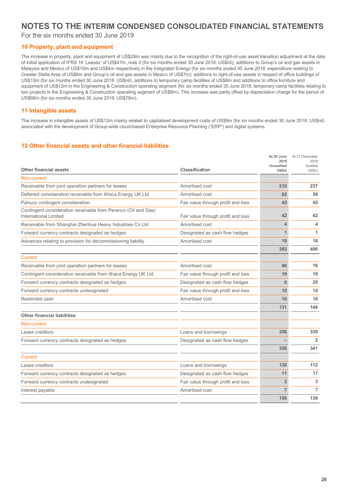### **NOTES TO THE INTERIM CONDENSED CONSOLIDATED FINANCIAL STATEMENTS**

For the six months ended 30 June 2019

#### **10 Property, plant and equipment**

The increase in property, plant and equipment of US\$28m was mainly due to the recognition of the right-of-use asset transition adjustment at the date of initial application of IFRS 16 'Leases' of US\$47m ,note 2 (for six months ended 30 June 2018: US\$nil); additions to Group's oil and gas assets in Malaysia and Mexico of US\$10m and US\$4m respectively in the Integrated Energy (for six months ended 30 June 2018: expenditure relating to Greater Stella Area of US\$6m and Group's oil and gas assets in Mexico of US\$7m); additions to right-of-use assets in respect of office buildings of US\$13m (for six months ended 30 June 2018: US\$nil), additions to temporary camp facilities of US\$8m and additions to office furniture and equipment of US\$12m in the Engineering & Construction operating segment (for six months ended 30 June 2018: temporary camp facilities relating to two projects in the Engineering & Construction operating segment of US\$8m). This increase was partly offset by depreciation charge for the period of US\$68m (for six months ended 30 June 2018: US\$78m).

#### **11 Intangible assets**

The increase in intangible assets of US\$12m mainly related to capitalised development costs of US\$9m (for six months ended 30 June 2018: US\$nil) associated with the development of Group-wide cloud-based Enterprise Resource Planning ("ERP") and digital systems.

#### **12 Other financial assets and other financial liabilities**

| Non-current<br>Receivable from joint operation partners for leases<br>Amortised cost<br>210<br>Deferred consideration receivable from Ithaca Energy UK Ltd<br>62<br>Amortised cost<br>Pánuco contingent consideration<br>Fair value through profit and loss<br>45<br>Contingent consideration receivable from Perenco (Oil and Gas)<br>42<br>International Limited<br>Fair value through profit and loss<br>Receivable from Shanghai Zhenhua Heavy Industries Co Ltd<br>Amortised cost<br>4<br>Forward currency contracts designated as hedges<br>Designated as cash flow hedges<br>1<br>Advances relating to provision for decommissioning liability<br>18<br>Amortised cost<br>382<br>Current<br>Receivable from joint operation partners for leases<br>Amortised cost<br>86<br>Contingent consideration receivable from Ithaca Energy UK Ltd<br>Fair value through profit and loss<br>19<br>Forward currency contracts designated as hedges<br>Designated as cash flow hedges<br>6<br>Forward currency contracts undesignated<br>Fair value through profit and loss<br>10<br>Restricted cash<br>Amortised cost<br>10<br>131<br><b>Other financial liabilities</b><br>Non-current<br>Lease creditors<br>Loans and borrowings<br>358<br>Forward currency contracts designated as hedges<br>Designated as cash flow hedges<br>358<br><b>Current</b><br>136<br>Lease creditors<br>Loans and borrowings<br>Forward currency contracts designated as hedges<br>Designated as cash flow hedges<br>11<br>$\overline{2}$<br>Forward currency contracts undesignated<br>Fair value through profit and loss<br>$\overline{7}$<br>Interest payable<br>Amortised cost<br>156 | <b>Other financial assets</b> | <b>Classification</b> | At 30 June<br>2019<br><b>Unaudited</b><br><b>US\$m</b> | At 31 December<br>2018<br>Audited<br>US\$m |
|--------------------------------------------------------------------------------------------------------------------------------------------------------------------------------------------------------------------------------------------------------------------------------------------------------------------------------------------------------------------------------------------------------------------------------------------------------------------------------------------------------------------------------------------------------------------------------------------------------------------------------------------------------------------------------------------------------------------------------------------------------------------------------------------------------------------------------------------------------------------------------------------------------------------------------------------------------------------------------------------------------------------------------------------------------------------------------------------------------------------------------------------------------------------------------------------------------------------------------------------------------------------------------------------------------------------------------------------------------------------------------------------------------------------------------------------------------------------------------------------------------------------------------------------------------------------------------------------------------------------------------------------------------------------|-------------------------------|-----------------------|--------------------------------------------------------|--------------------------------------------|
|                                                                                                                                                                                                                                                                                                                                                                                                                                                                                                                                                                                                                                                                                                                                                                                                                                                                                                                                                                                                                                                                                                                                                                                                                                                                                                                                                                                                                                                                                                                                                                                                                                                                    |                               |                       |                                                        |                                            |
|                                                                                                                                                                                                                                                                                                                                                                                                                                                                                                                                                                                                                                                                                                                                                                                                                                                                                                                                                                                                                                                                                                                                                                                                                                                                                                                                                                                                                                                                                                                                                                                                                                                                    |                               |                       |                                                        | 237                                        |
|                                                                                                                                                                                                                                                                                                                                                                                                                                                                                                                                                                                                                                                                                                                                                                                                                                                                                                                                                                                                                                                                                                                                                                                                                                                                                                                                                                                                                                                                                                                                                                                                                                                                    |                               |                       |                                                        | 59                                         |
|                                                                                                                                                                                                                                                                                                                                                                                                                                                                                                                                                                                                                                                                                                                                                                                                                                                                                                                                                                                                                                                                                                                                                                                                                                                                                                                                                                                                                                                                                                                                                                                                                                                                    |                               |                       |                                                        | 45                                         |
|                                                                                                                                                                                                                                                                                                                                                                                                                                                                                                                                                                                                                                                                                                                                                                                                                                                                                                                                                                                                                                                                                                                                                                                                                                                                                                                                                                                                                                                                                                                                                                                                                                                                    |                               |                       |                                                        | 42                                         |
|                                                                                                                                                                                                                                                                                                                                                                                                                                                                                                                                                                                                                                                                                                                                                                                                                                                                                                                                                                                                                                                                                                                                                                                                                                                                                                                                                                                                                                                                                                                                                                                                                                                                    |                               |                       |                                                        | 4                                          |
|                                                                                                                                                                                                                                                                                                                                                                                                                                                                                                                                                                                                                                                                                                                                                                                                                                                                                                                                                                                                                                                                                                                                                                                                                                                                                                                                                                                                                                                                                                                                                                                                                                                                    |                               |                       |                                                        | 1                                          |
|                                                                                                                                                                                                                                                                                                                                                                                                                                                                                                                                                                                                                                                                                                                                                                                                                                                                                                                                                                                                                                                                                                                                                                                                                                                                                                                                                                                                                                                                                                                                                                                                                                                                    |                               |                       |                                                        | 18                                         |
|                                                                                                                                                                                                                                                                                                                                                                                                                                                                                                                                                                                                                                                                                                                                                                                                                                                                                                                                                                                                                                                                                                                                                                                                                                                                                                                                                                                                                                                                                                                                                                                                                                                                    |                               |                       |                                                        | 406                                        |
|                                                                                                                                                                                                                                                                                                                                                                                                                                                                                                                                                                                                                                                                                                                                                                                                                                                                                                                                                                                                                                                                                                                                                                                                                                                                                                                                                                                                                                                                                                                                                                                                                                                                    |                               |                       |                                                        |                                            |
|                                                                                                                                                                                                                                                                                                                                                                                                                                                                                                                                                                                                                                                                                                                                                                                                                                                                                                                                                                                                                                                                                                                                                                                                                                                                                                                                                                                                                                                                                                                                                                                                                                                                    |                               |                       |                                                        | 76                                         |
|                                                                                                                                                                                                                                                                                                                                                                                                                                                                                                                                                                                                                                                                                                                                                                                                                                                                                                                                                                                                                                                                                                                                                                                                                                                                                                                                                                                                                                                                                                                                                                                                                                                                    |                               |                       |                                                        | 19                                         |
|                                                                                                                                                                                                                                                                                                                                                                                                                                                                                                                                                                                                                                                                                                                                                                                                                                                                                                                                                                                                                                                                                                                                                                                                                                                                                                                                                                                                                                                                                                                                                                                                                                                                    |                               |                       |                                                        | 25                                         |
|                                                                                                                                                                                                                                                                                                                                                                                                                                                                                                                                                                                                                                                                                                                                                                                                                                                                                                                                                                                                                                                                                                                                                                                                                                                                                                                                                                                                                                                                                                                                                                                                                                                                    |                               |                       |                                                        | 14                                         |
|                                                                                                                                                                                                                                                                                                                                                                                                                                                                                                                                                                                                                                                                                                                                                                                                                                                                                                                                                                                                                                                                                                                                                                                                                                                                                                                                                                                                                                                                                                                                                                                                                                                                    |                               |                       |                                                        | 10                                         |
|                                                                                                                                                                                                                                                                                                                                                                                                                                                                                                                                                                                                                                                                                                                                                                                                                                                                                                                                                                                                                                                                                                                                                                                                                                                                                                                                                                                                                                                                                                                                                                                                                                                                    |                               |                       |                                                        | 144                                        |
|                                                                                                                                                                                                                                                                                                                                                                                                                                                                                                                                                                                                                                                                                                                                                                                                                                                                                                                                                                                                                                                                                                                                                                                                                                                                                                                                                                                                                                                                                                                                                                                                                                                                    |                               |                       |                                                        |                                            |
|                                                                                                                                                                                                                                                                                                                                                                                                                                                                                                                                                                                                                                                                                                                                                                                                                                                                                                                                                                                                                                                                                                                                                                                                                                                                                                                                                                                                                                                                                                                                                                                                                                                                    |                               |                       |                                                        |                                            |
|                                                                                                                                                                                                                                                                                                                                                                                                                                                                                                                                                                                                                                                                                                                                                                                                                                                                                                                                                                                                                                                                                                                                                                                                                                                                                                                                                                                                                                                                                                                                                                                                                                                                    |                               |                       |                                                        | 339                                        |
|                                                                                                                                                                                                                                                                                                                                                                                                                                                                                                                                                                                                                                                                                                                                                                                                                                                                                                                                                                                                                                                                                                                                                                                                                                                                                                                                                                                                                                                                                                                                                                                                                                                                    |                               |                       |                                                        | $\overline{2}$                             |
|                                                                                                                                                                                                                                                                                                                                                                                                                                                                                                                                                                                                                                                                                                                                                                                                                                                                                                                                                                                                                                                                                                                                                                                                                                                                                                                                                                                                                                                                                                                                                                                                                                                                    |                               |                       |                                                        | 341                                        |
|                                                                                                                                                                                                                                                                                                                                                                                                                                                                                                                                                                                                                                                                                                                                                                                                                                                                                                                                                                                                                                                                                                                                                                                                                                                                                                                                                                                                                                                                                                                                                                                                                                                                    |                               |                       |                                                        |                                            |
|                                                                                                                                                                                                                                                                                                                                                                                                                                                                                                                                                                                                                                                                                                                                                                                                                                                                                                                                                                                                                                                                                                                                                                                                                                                                                                                                                                                                                                                                                                                                                                                                                                                                    |                               |                       |                                                        | 112                                        |
|                                                                                                                                                                                                                                                                                                                                                                                                                                                                                                                                                                                                                                                                                                                                                                                                                                                                                                                                                                                                                                                                                                                                                                                                                                                                                                                                                                                                                                                                                                                                                                                                                                                                    |                               |                       |                                                        | 17                                         |
|                                                                                                                                                                                                                                                                                                                                                                                                                                                                                                                                                                                                                                                                                                                                                                                                                                                                                                                                                                                                                                                                                                                                                                                                                                                                                                                                                                                                                                                                                                                                                                                                                                                                    |                               |                       |                                                        | 3                                          |
|                                                                                                                                                                                                                                                                                                                                                                                                                                                                                                                                                                                                                                                                                                                                                                                                                                                                                                                                                                                                                                                                                                                                                                                                                                                                                                                                                                                                                                                                                                                                                                                                                                                                    |                               |                       |                                                        | $\overline{7}$                             |
|                                                                                                                                                                                                                                                                                                                                                                                                                                                                                                                                                                                                                                                                                                                                                                                                                                                                                                                                                                                                                                                                                                                                                                                                                                                                                                                                                                                                                                                                                                                                                                                                                                                                    |                               |                       |                                                        | 139                                        |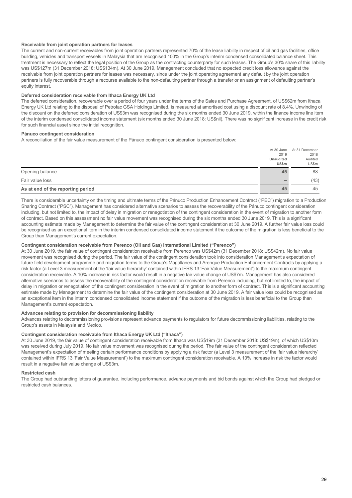#### **Receivable from joint operation partners for leases**

The current and non-current receivables from joint operation partners represented 70% of the lease liability in respect of oil and gas facilities, office building, vehicles and transport vessels in Malaysia that are recognised 100% in the Group's interim condensed consolidated balance sheet. This treatment is necessary to reflect the legal position of the Group as the contracting counterparty for such leases. The Group's 30% share of this liability was US\$127m (31 December 2018: US\$134m). At 30 June 2019, Management concluded that no expected credit loss allowance against the receivable from joint operation partners for leases was necessary, since under the joint operating agreement any default by the joint operation partners is fully recoverable through a recourse available to the non-defaulting partner through a transfer or an assignment of defaulting partner's equity interest.

#### **Deferred consideration receivable from Ithaca Energy UK Ltd**

The deferred consideration, recoverable over a period of four years under the terms of the Sales and Purchase Agreement, of US\$62m from Ithaca Energy UK Ltd relating to the disposal of Petrofac GSA Holdings Limited, is measured at amortised cost using a discount rate of 8.4%. Unwinding of the discount on the deferred consideration of US\$3m was recognised during the six months ended 30 June 2019, within the finance income line item of the interim condensed consolidated income statement (six months ended 30 June 2018: US\$nil). There was no significant increase in the credit risk for such financial asset since the initial recognition.

#### **Pánuco contingent consideration**

A reconciliation of the fair value measurement of the Pánuco contingent consideration is presented below:

|                                   |                  | At 30 June At 31 December |
|-----------------------------------|------------------|---------------------------|
|                                   | 2019             | 2018                      |
|                                   | <b>Unaudited</b> | Audited                   |
|                                   | <b>US\$m</b>     | US\$m                     |
| Opening balance                   | 45               | 88                        |
| Fair value loss                   |                  | (43)                      |
| As at end of the reporting period | 45               | 45                        |

There is considerable uncertainty on the timing and ultimate terms of the Pánuco Production Enhancement Contract ("PEC") migration to a Production Sharing Contract ("PSC"). Management has considered alternative scenarios to assess the recoverability of the Pánuco contingent consideration including, but not limited to, the impact of delay in migration or renegotiation of the contingent consideration in the event of migration to another form of contract. Based on this assessment no fair value movement was recognised during the six months ended 30 June 2019. This is a significant accounting estimate made by Management to determine the fair value of the contingent consideration at 30 June 2019. A further fair value loss could be recognised as an exceptional item in the interim condensed consolidated income statement if the outcome of the migration is less beneficial to the Group than Management's current expectation.

#### **Contingent consideration receivable from Perenco (Oil and Gas) International Limited ("Perenco")**

At 30 June 2019, the fair value of contingent consideration receivable from Perenco was US\$42m (31 December 2018: US\$42m). No fair value movement was recognised during the period. The fair value of the contingent consideration took into consideration Management's expectation of future field development programme and migration terms to the Group's Magallanes and Arenque Production Enhancement Contracts by applying a risk factor (a Level 3 measurement of the 'fair value hierarchy' contained within IFRS 13 'Fair Value Measurement') to the maximum contingent consideration receivable. A 10% increase in risk factor would result in a negative fair value change of US\$7m. Management has also considered alternative scenarios to assess the recoverability of the contingent consideration receivable from Perenco including, but not limited to, the impact of delay in migration or renegotiation of the contingent consideration in the event of migration to another form of contract. This is a significant accounting estimate made by Management to determine the fair value of the contingent consideration at 30 June 2019. A fair value loss could be recognised as an exceptional item in the interim condensed consolidated income statement if the outcome of the migration is less beneficial to the Group than Management's current expectation

#### **Advances relating to provision for decommissioning liability**

Advances relating to decommissioning provisions represent advance payments to regulators for future decommissioning liabilities, relating to the Group's assets in Malaysia and Mexico.

#### **Contingent consideration receivable from Ithaca Energy UK Ltd ("Ithaca")**

At 30 June 2019, the fair value of contingent consideration receivable from Ithaca was US\$19m (31 December 2018: US\$19m), of which US\$10m was received during July 2019. No fair value movement was recognised during the period. The fair value of the contingent consideration reflected Management's expectation of meeting certain performance conditions by applying a risk factor (a Level 3 measurement of the 'fair value hierarchy' contained within IFRS 13 'Fair Value Measurement') to the maximum contingent consideration receivable. A 10% increase in risk the factor would result in a negative fair value change of US\$3m.

#### **Restricted cash**

The Group had outstanding letters of guarantee, including performance, advance payments and bid bonds against which the Group had pledged or restricted cash balances.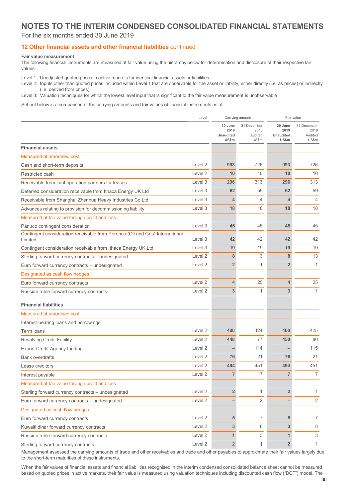### **NOTES TO THE INTERIM CONDENSED CONSOLIDATED FINANCIAL STATEMENTS**

#### For the six months ended 30 June 2019

#### **12 Other financial assets and other financial liabilities** continued

#### **Fair value measurement**

The following financial instruments are measured at fair value using the hierarchy below for determination and disclosure of their respective fair values:

Level 1: Unadjusted quoted prices in active markets for identical financial assets or liabilities

Level 2: Inputs other than quoted prices included within Level 1 that are observable for the asset or liability, either directly (i.e. as prices) or indirectly (i.e. derived from prices)

Level 3: Valuation techniques for which the lowest level input that is significant to the fair value measurement is unobservable

Set out below is a comparison of the carrying amounts and fair values of financial instruments as at:

|                                                                                         | Level              |                                              |                                         | Carrying amount<br>Fair value                |                                         |
|-----------------------------------------------------------------------------------------|--------------------|----------------------------------------------|-----------------------------------------|----------------------------------------------|-----------------------------------------|
|                                                                                         |                    | 30 June<br>2019<br><b>Unaudited</b><br>US\$m | 31 December<br>2018<br>Audited<br>US\$m | 30 June<br>2019<br><b>Unaudited</b><br>US\$m | 31 December<br>2018<br>Audited<br>US\$m |
| <b>Financial assets</b>                                                                 |                    |                                              |                                         |                                              |                                         |
| Measured at amortised cost                                                              |                    |                                              |                                         |                                              |                                         |
| Cash and short-term deposits                                                            | Level 2            | 993                                          | 726                                     | 993                                          | 726                                     |
| Restricted cash                                                                         | Level <sub>2</sub> | 10                                           | 10                                      | 10                                           | 10                                      |
| Receivable from joint operation partners for leases                                     | Level 3            | 296                                          | 313                                     | 296                                          | 313                                     |
| Deferred consideration receivable from Ithaca Energy UK Ltd                             | Level 3            | 62                                           | 59                                      | 62                                           | 59                                      |
| Receivable from Shanghai Zhenhua Heavy Industries Co Ltd                                | Level 3            | 4                                            | $\overline{4}$                          | $\overline{4}$                               | 4                                       |
| Advances relating to provision for decommissioning liability                            | Level 3            | 18                                           | 18                                      | 18                                           | 18                                      |
| Measured at fair value through profit and loss                                          |                    |                                              |                                         |                                              |                                         |
| Pánuco contingent consideration                                                         | Level 3            | 45                                           | 45                                      | 45                                           | 45                                      |
| Contingent consideration receivable from Perenco (Oil and Gas) International<br>Limited | Level 3            | 42                                           | 42                                      | 42                                           | 42                                      |
| Contingent consideration receivable from Ithaca Energy UK Ltd                           | Level 3            | 19                                           | 19                                      | 19                                           | 19                                      |
| Sterling forward currency contracts - undesignated                                      | Level 2            | 8                                            | 13                                      | 8                                            | 13                                      |
| Euro forward currency contracts - undesignated                                          | Level 2            | $\overline{2}$                               | $\mathbf{1}$                            | $\overline{2}$                               | $\mathbf{1}$                            |
| Designated as cash flow hedges                                                          |                    |                                              |                                         |                                              |                                         |
| Euro forward currency contracts                                                         | Level 2            | 4                                            | 25                                      | $\overline{4}$                               | 25                                      |
| Russian ruble forward currency contracts                                                | Level 2            | 3                                            | 1                                       | 3                                            | $\mathbf{1}$                            |
| <b>Financial liabilities</b>                                                            |                    |                                              |                                         |                                              |                                         |
| Measured at amortised cost                                                              |                    |                                              |                                         |                                              |                                         |
| Interest-bearing loans and borrowings                                                   |                    |                                              |                                         |                                              |                                         |
| Term loans                                                                              | Level 2            | 400                                          | 424                                     | 400                                          | 425                                     |
| <b>Revolving Credit Facility</b>                                                        | Level 2            | 448                                          | 77                                      | 450                                          | 80                                      |
| <b>Export Credit Agency funding</b>                                                     | Level 2            |                                              | 114                                     |                                              | 115                                     |
| <b>Bank overdrafts</b>                                                                  | Level 2            | 76                                           | 21                                      | 76                                           | 21                                      |
| Lease creditors                                                                         | Level 2            | 494                                          | 451                                     | 494                                          | 451                                     |
| Interest payable                                                                        | Level <sub>2</sub> | $\overline{7}$                               | 7                                       | $\overline{7}$                               | 7                                       |
| Measured at fair value through profit and loss                                          |                    |                                              |                                         |                                              |                                         |
| Sterling forward currency contracts - undesignated                                      | Level 2            | $\overline{2}$                               | $\mathbf{1}$                            | $\overline{2}$                               | 1                                       |
| Euro forward currency contracts - undesignated                                          | Level 2            |                                              | $\overline{2}$                          |                                              | $\overline{2}$                          |
| Designated as cash flow hedges                                                          |                    |                                              |                                         |                                              |                                         |
| Euro forward currency contracts                                                         | Level 2            | 5                                            | 7                                       | 5                                            | 7                                       |
| Kuwaiti dinar forward currency contracts                                                | Level 2            | $\overline{3}$                               | 8                                       | 3                                            | 8                                       |
| Russian ruble forward currency contracts                                                | Level 2            | 1                                            | 3                                       | 1                                            | 3                                       |
| Sterling forward currency contracts                                                     | Level 2            | $\overline{2}$                               | 1                                       | $\overline{2}$                               | $\mathbf{1}$                            |

Management assessed the carrying amounts of trade and other receivables and trade and other payables to approximate their fair values largely due to the short-term maturities of these instruments.

When the fair values of financial assets and financial liabilities recognised in the interim condensed consolidated balance sheet cannot be measured based on quoted prices in active markets, their fair value is measured using valuation techniques including discounted cash flow ("DCF") model. The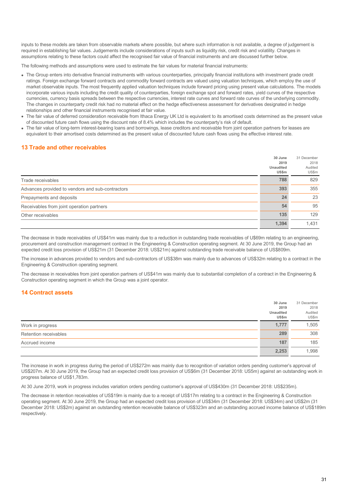inputs to these models are taken from observable markets where possible, but where such information is not available, a degree of judgement is required in establishing fair values. Judgements include considerations of inputs such as liquidity risk, credit risk and volatility. Changes in assumptions relating to these factors could affect the recognised fair value of financial instruments and are discussed further below.

The following methods and assumptions were used to estimate the fair values for material financial instruments:

- The Group enters into derivative financial instruments with various counterparties, principally financial institutions with investment grade credit ratings. Foreign exchange forward contracts and commodity forward contracts are valued using valuation techniques, which employ the use of market observable inputs. The most frequently applied valuation techniques include forward pricing using present value calculations. The models incorporate various inputs including the credit quality of counterparties, foreign exchange spot and forward rates, yield curves of the respective currencies, currency basis spreads between the respective currencies, interest rate curves and forward rate curves of the underlying commodity. The changes in counterparty credit risk had no material effect on the hedge effectiveness assessment for derivatives designated in hedge relationships and other financial instruments recognised at fair value.
- The fair value of deferred consideration receivable from Ithaca Energy UK Ltd is equivalent to its amortised costs determined as the present value of discounted future cash flows using the discount rate of 8.4% which includes the counterparty's risk of default.
- The fair value of long-term interest-bearing loans and borrowings, lease creditors and receivable from joint operation partners for leases are equivalent to their amortised costs determined as the present value of discounted future cash flows using the effective interest rate.

#### **13 Trade and other receivables**

|                                                  | 30 June<br>2019<br><b>Unaudited</b><br>US\$m | 31 December<br>2018<br>Audited<br>US\$m |
|--------------------------------------------------|----------------------------------------------|-----------------------------------------|
| Trade receivables                                | 788                                          | 829                                     |
| Advances provided to vendors and sub-contractors | 393                                          | 355                                     |
| Prepayments and deposits                         | 24                                           | 23                                      |
| Receivables from joint operation partners        | 54                                           | 95                                      |
| Other receivables                                | 135                                          | 129                                     |
|                                                  | 1,394                                        | 1.431                                   |

The decrease in trade receivables of US\$41m was mainly due to a reduction in outstanding trade receivables of U\$69m relating to an engineering, procurement and construction management contract in the Engineering & Construction operating segment. At 30 June 2019, the Group had an expected credit loss provision of US\$21m (31 December 2018: US\$21m) against outstanding trade receivable balance of US\$809m.

The increase in advances provided to vendors and sub-contractors of US\$38m was mainly due to advances of US\$32m relating to a contract in the Engineering & Construction operating segment.

The decrease in receivables from joint operation partners of US\$41m was mainly due to substantial completion of a contract in the Engineering & Construction operating segment in which the Group was a joint operator.

#### **14 Contract assets**

|                       | 30 June<br>2019           | 31 December<br>2018 |
|-----------------------|---------------------------|---------------------|
|                       | <b>Unaudited</b><br>US\$m | Audited<br>US\$m    |
| Work in progress      | 1,777                     | 1,505               |
| Retention receivables | 289                       | 308                 |
| Accrued income        | 187                       | 185                 |
|                       | 2,253                     | 1,998               |

The increase in work in progress during the period of US\$272m was mainly due to recognition of variation orders pending customer's approval of US\$207m. At 30 June 2019, the Group had an expected credit loss provision of US\$6m (31 December 2018: US5m) against an outstanding work in progress balance of US\$1,783m.

At 30 June 2019, work in progress includes variation orders pending customer's approval of US\$430m (31 December 2018: US\$235m).

The decrease in retention receivables of US\$19m is mainly due to a receipt of US\$17m relating to a contract in the Engineering & Construction operating segment. At 30 June 2019, the Group had an expected credit loss provision of US\$34m (31 December 2018: US\$34m) and US\$2m (31 December 2018: US\$2m) against an outstanding retention receivable balance of US\$323m and an outstanding accrued income balance of US\$189m respectively.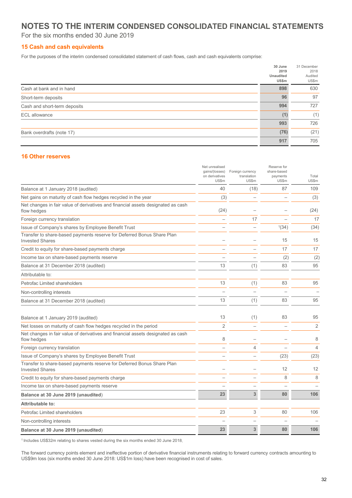### **NOTES TO THE INTERIM CONDENSED CONSOLIDATED FINANCIAL STATEMENTS**

For the six months ended 30 June 2019

#### **15 Cash and cash equivalents**

For the purposes of the interim condensed consolidated statement of cash flows, cash and cash equivalents comprise:

|                              | 30 June<br>2019<br><b>Unaudited</b><br>US\$m | 31 December<br>2018<br>Audited<br>US\$m |
|------------------------------|----------------------------------------------|-----------------------------------------|
| Cash at bank and in hand     | 898                                          | 630                                     |
| Short-term deposits          | 96                                           | 97                                      |
| Cash and short-term deposits | 994                                          | 727                                     |
| <b>ECL</b> allowance         | (1)                                          | (1)                                     |
|                              | 993                                          | 726                                     |
| Bank overdrafts (note 17)    | (76)                                         | (21)                                    |
|                              | 917                                          | 705                                     |

#### **16 Other reserves**

|                                                                                                  | Net unrealised<br>gains/(losses)<br>on derivatives<br>US\$m | Foreign currency<br>translation<br>US\$m | Reserve for<br>share-based<br>payments<br>US\$m | Total<br>US\$m |
|--------------------------------------------------------------------------------------------------|-------------------------------------------------------------|------------------------------------------|-------------------------------------------------|----------------|
| Balance at 1 January 2018 (audited)                                                              | 40                                                          | (18)                                     | 87                                              | 109            |
| Net gains on maturity of cash flow hedges recycled in the year                                   | (3)                                                         |                                          |                                                 | (3)            |
| Net changes in fair value of derivatives and financial assets designated as cash<br>flow hedges  | (24)                                                        |                                          |                                                 | (24)           |
| Foreign currency translation                                                                     |                                                             | 17                                       |                                                 | 17             |
| Issue of Company's shares by Employee Benefit Trust                                              |                                                             |                                          | 1(34)                                           | (34)           |
| Transfer to share-based payments reserve for Deferred Bonus Share Plan<br><b>Invested Shares</b> |                                                             |                                          | 15                                              | 15             |
| Credit to equity for share-based payments charge                                                 |                                                             |                                          | 17                                              | 17             |
| Income tax on share-based payments reserve                                                       |                                                             |                                          | (2)                                             | (2)            |
| Balance at 31 December 2018 (audited)                                                            | 13                                                          | (1)                                      | 83                                              | 95             |
| Attributable to:                                                                                 |                                                             |                                          |                                                 |                |
| Petrofac Limited shareholders                                                                    | 13                                                          | (1)                                      | 83                                              | 95             |
| Non-controlling interests                                                                        |                                                             |                                          |                                                 |                |
| Balance at 31 December 2018 (audited)                                                            | 13                                                          | (1)                                      | 83                                              | 95             |
| Balance at 1 January 2019 (audited)                                                              | 13                                                          | (1)                                      | 83                                              | 95             |
| Net losses on maturity of cash flow hedges recycled in the period                                | $\overline{2}$                                              |                                          |                                                 | $\overline{2}$ |
| Net changes in fair value of derivatives and financial assets designated as cash<br>flow hedges  | 8                                                           |                                          |                                                 | 8              |
| Foreign currency translation                                                                     | $\overline{\phantom{a}}$                                    | 4                                        |                                                 | $\overline{4}$ |
| Issue of Company's shares by Employee Benefit Trust                                              |                                                             |                                          | (23)                                            | (23)           |
| Transfer to share-based payments reserve for Deferred Bonus Share Plan<br><b>Invested Shares</b> |                                                             |                                          | 12                                              | 12             |
| Credit to equity for share-based payments charge                                                 |                                                             |                                          | 8                                               | 8              |
| Income tax on share-based payments reserve                                                       |                                                             |                                          |                                                 |                |
| Balance at 30 June 2019 (unaudited)                                                              | 23                                                          | 3                                        | 80                                              | 106            |
| Attributable to:                                                                                 |                                                             |                                          |                                                 |                |
| Petrofac Limited shareholders                                                                    | 23                                                          | 3                                        | 80                                              | 106            |
| Non-controlling interests                                                                        |                                                             |                                          |                                                 |                |
| Balance at 30 June 2019 (unaudited)                                                              | 23                                                          | 3                                        | 80                                              | 106            |

<sup>1</sup> Includes US\$32m relating to shares vested during the six months ended 30 June 2018.

The forward currency points element and ineffective portion of derivative financial instruments relating to forward currency contracts amounting to US\$9m loss (six months ended 30 June 2018: US\$1m loss) have been recognised in cost of sales.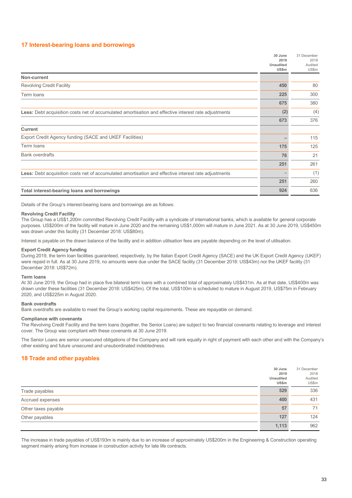#### **17 Interest-bearing loans and borrowings**

|                                                                                                             | 30 June<br>2019           | 31 December<br>2018 |
|-------------------------------------------------------------------------------------------------------------|---------------------------|---------------------|
|                                                                                                             | <b>Unaudited</b><br>US\$m | Audited<br>US\$m    |
| Non-current                                                                                                 |                           |                     |
| <b>Revolving Credit Facility</b>                                                                            | 450                       | 80                  |
| Term loans                                                                                                  | 225                       | 300                 |
|                                                                                                             | 675                       | 380                 |
| <b>Less:</b> Debt acquisition costs net of accumulated amortisation and effective interest rate adjustments | (2)                       | (4)                 |
|                                                                                                             | 673                       | 376                 |
| <b>Current</b>                                                                                              |                           |                     |
| Export Credit Agency funding (SACE and UKEF Facilities)                                                     |                           | 115                 |
| Term loans                                                                                                  | 175                       | 125                 |
| <b>Bank overdrafts</b>                                                                                      | 76                        | 21                  |
|                                                                                                             | 251                       | 261                 |
| <b>Less:</b> Debt acquisition costs net of accumulated amortisation and effective interest rate adjustments |                           | (1)                 |
|                                                                                                             | 251                       | 260                 |
| Total interest-bearing loans and borrowings                                                                 | 924                       | 636                 |

Details of the Group's interest-bearing loans and borrowings are as follows:

#### **Revolving Credit Facility**

The Group has a US\$1,200m committed Revolving Credit Facility with a syndicate of international banks, which is available for general corporate purposes. US\$200m of the facility will mature in June 2020 and the remaining US\$1,000m will mature in June 2021. As at 30 June 2019, US\$450m was drawn under this facility (31 December 2018: US\$80m).

Interest is payable on the drawn balance of the facility and in addition utilisation fees are payable depending on the level of utilisation.

#### **Export Credit Agency funding**

During 2019, the term loan facilities guaranteed, respectively, by the Italian Export Credit Agency (SACE) and the UK Export Credit Agency (UKEF) were repaid in full. As at 30 June 2019, no amounts were due under the SACE facility (31 December 2018: US\$43m) nor the UKEF facility (31 December 2018: US\$72m).

#### **Term loans**

At 30 June 2019, the Group had in place five bilateral term loans with a combined total of approximately US\$431m. As at that date, US\$400m was drawn under these facilities (31 December 2018: US\$425m). Of the total, US\$100m is scheduled to mature in August 2019, US\$75m in February 2020, and US\$225m in August 2020.

#### **Bank overdrafts**

Bank overdrafts are available to meet the Group's working capital requirements. These are repayable on demand.

#### **Compliance with covenants**

The Revolving Credit Facility and the term loans (together, the Senior Loans) are subject to two financial covenants relating to leverage and interest cover. The Group was compliant with these covenants at 30 June 2019.

The Senior Loans are senior unsecured obligations of the Company and will rank equally in right of payment with each other and with the Company's other existing and future unsecured and unsubordinated indebtedness.

#### **18 Trade and other payables**

|                     | 30 June<br>2019<br>Unaudited<br>US\$m | 31 December<br>2018<br>Audited<br>US\$m |
|---------------------|---------------------------------------|-----------------------------------------|
| Trade payables      | 529                                   | 336                                     |
| Accrued expenses    | 400                                   | 431                                     |
| Other taxes payable | 57                                    | 71                                      |
| Other payables      | 127                                   | 124                                     |
|                     | 1,113                                 | 962                                     |

The increase in trade payables of US\$193m is mainly due to an increase of approximately US\$200m in the Engineering & Construction operating segment mainly arising from increase in construction activity for late life contracts.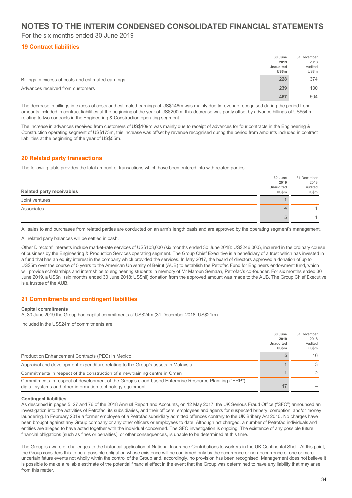### **NOTES TO THE INTERIM CONDENSED CONSOLIDATED FINANCIAL STATEMENTS**

For the six months ended 30 June 2019

#### **19 Contract liabilities**

|                                                    | 30 June<br>2019<br><b>Unaudited</b><br><b>US\$m</b> | 31 December<br>2018<br>Audited<br>US\$m |
|----------------------------------------------------|-----------------------------------------------------|-----------------------------------------|
| Billings in excess of costs and estimated earnings | 228                                                 | 374                                     |
| Advances received from customers                   | 239                                                 | 130                                     |
|                                                    | 467                                                 | 504                                     |

The decrease in billings in excess of costs and estimated earnings of US\$146m was mainly due to revenue recognised during the period from amounts included in contract liabilities at the beginning of the year of US\$200m, this decrease was partly offset by advance billings of US\$54m relating to two contracts in the Engineering & Construction operating segment.

The increase in advances received from customers of US\$109m was mainly due to receipt of advances for four contracts in the Engineering & Construction operating segment of US\$173m, this increase was offset by revenue recognised during the period from amounts included in contract liabilities at the beginning of the year of US\$55m.

#### **20 Related party transactions**

The following table provides the total amount of transactions which have been entered into with related parties:

|                                  | 30 June   | 31 December |
|----------------------------------|-----------|-------------|
|                                  | 2019      | 2018        |
|                                  | Unaudited | Audited     |
| <b>Related party receivables</b> | US\$m     | US\$m       |
| Joint ventures                   |           |             |
| Associates                       |           |             |
|                                  |           |             |

All sales to and purchases from related parties are conducted on an arm's length basis and are approved by the operating segment's management.

All related party balances will be settled in cash.

Other Directors' interests include market-rate services of US\$103,000 (six months ended 30 June 2018: US\$246,000), incurred in the ordinary course of business by the Engineering & Production Services operating segment. The Group Chief Executive is a beneficiary of a trust which has invested in a fund that has an equity interest in the company which provided the services. In May 2017, the board of directors approved a donation of up to US\$5m over the course of 5 years to the American University of Beirut (AUB) to establish the Petrofac Fund for Engineers endowment fund, which will provide scholarships and internships to engineering students in memory of Mr Maroun Semaan, Petrofac's co-founder. For six months ended 30 June 2019, a US\$nil (six months ended 30 June 2018: US\$nil) donation from the approved amount was made to the AUB. The Group Chief Executive is a trustee of the AUB.

#### **21 Commitments and contingent liabilities**

#### **Capital commitments**

At 30 June 2019 the Group had capital commitments of US\$24m (31 December 2018: US\$21m).

Included in the US\$24m of commitments are:

|                                                                                                                                                                      | 30 June   | 31 December |
|----------------------------------------------------------------------------------------------------------------------------------------------------------------------|-----------|-------------|
|                                                                                                                                                                      | 2019      | 2018        |
|                                                                                                                                                                      | Unaudited | Audited     |
|                                                                                                                                                                      | US\$m     | US\$m       |
| Production Enhancement Contracts (PEC) in Mexico                                                                                                                     |           | 16          |
| Appraisal and development expenditure relating to the Group's assets in Malaysia                                                                                     |           |             |
| Commitments in respect of the construction of a new training centre in Oman                                                                                          |           |             |
| Commitments in respect of development of the Group's cloud-based Enterprise Resource Planning ("ERP"),<br>digital systems and other information technology equipment | 17        |             |

#### **Contingent liabilities**

As described in pages 5, 27 and 76 of the 2018 Annual Report and Accounts, on 12 May 2017, the UK Serious Fraud Office ("SFO") announced an investigation into the activities of Petrofac, its subsidiaries, and their officers, employees and agents for suspected bribery, corruption, and/or money laundering. In February 2019 a former employee of a Petrofac subsidiary admitted offences contrary to the UK Bribery Act 2010. No charges have been brought against any Group company or any other officers or employees to date. Although not charged, a number of Petrofac individuals and entities are alleged to have acted together with the individual concerned. The SFO investigation is ongoing. The existence of any possible future financial obligations (such as fines or penalties), or other consequences, is unable to be determined at this time.

The Group is aware of challenges to the historical application of National Insurance Contributions to workers in the UK Continental Shelf. At this point, the Group considers this to be a possible obligation whose existence will be confirmed only by the occurrence or non-occurrence of one or more uncertain future events not wholly within the control of the Group and, accordingly, no provision has been recognised. Management does not believe it is possible to make a reliable estimate of the potential financial effect in the event that the Group was determined to have any liability that may arise from this matter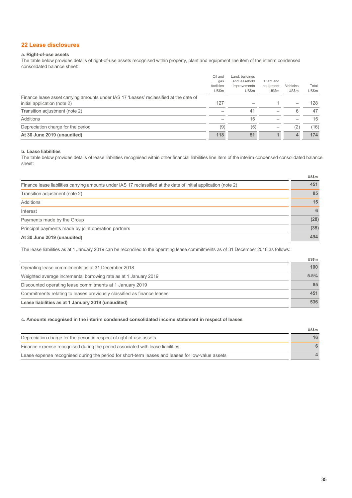#### **22 Lease disclosures**

#### **a. Right-of-use assets**

The table below provides details of right-of-use assets recognised within property, plant and equipment line item of the interim condensed consolidated balance sheet:

| Finance lease asset carrying amounts under IAS 17 'Leases' reclassified at the date of<br>initial application (note 2) | US\$m<br>127 | US\$m | US\$m | US\$m | US\$m<br>128 |
|------------------------------------------------------------------------------------------------------------------------|--------------|-------|-------|-------|--------------|
| Transition adjustment (note 2)                                                                                         |              | 41    |       |       | 47           |
| Additions                                                                                                              |              | 15    |       |       | 15           |
| Depreciation charge for the period                                                                                     | (9)          | (5)   |       | '2,   | (16)         |
| At 30 June 2019 (unaudited)                                                                                            | 118          | 51    | 1     |       | 174          |
|                                                                                                                        |              |       |       |       |              |

#### **b. Lease liabilities**

The table below provides details of lease liabilities recognised within other financial liabilities line item of the interim condensed consolidated balance sheet:

|                                                                                                                  | uəəm |
|------------------------------------------------------------------------------------------------------------------|------|
| Finance lease liabilities carrying amounts under IAS 17 reclassified at the date of initial application (note 2) | 451  |
| Transition adjustment (note 2)                                                                                   | 85   |
| Additions                                                                                                        | 15   |
| Interest                                                                                                         | 6    |
| Payments made by the Group                                                                                       | (28) |
| Principal payments made by joint operation partners                                                              | (35) |
| At 30 June 2019 (unaudited)                                                                                      | 494  |

The lease liabilities as at 1 January 2019 can be reconciled to the operating lease commitments as of 31 December 2018 as follows:

|                                                                        | <b>US\$m</b>     |
|------------------------------------------------------------------------|------------------|
| Operating lease commitments as at 31 December 2018                     | 100 <sub>1</sub> |
| Weighted average incremental borrowing rate as at 1 January 2019       | 5.5%             |
| Discounted operating lease commitments at 1 January 2019               | 85               |
| Commitments relating to leases previously classified as finance leases | 451              |
| Lease liabilities as at 1 January 2019 (unaudited)                     | 536              |

#### **c. Amounts recognised in the interim condensed consolidated income statement in respect of leases**

|                                                                                                  | <b>US\$m</b> |
|--------------------------------------------------------------------------------------------------|--------------|
| Depreciation charge for the period in respect of right-of-use assets                             | 16           |
| Finance expense recognised during the period associated with lease liabilities                   |              |
| Lease expense recognised during the period for short-term leases and leases for low-value assets |              |

**US\$m**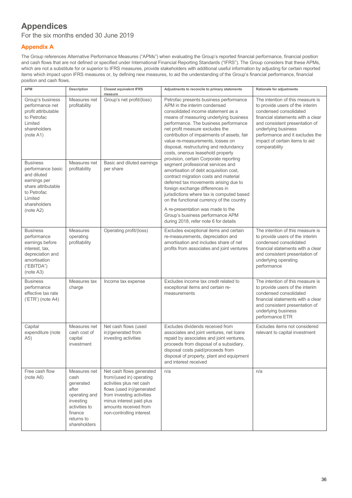## **Appendices**

For the six months ended 30 June 2019

### **Appendix A**

The Group references Alternative Performance Measures ("APMs") when evaluating the Group's reported financial performance, financial position and cash flows that are not defined or specified under International Financial Reporting Standards ("IFRS"). The Group considers that these APMs, which are not a substitute for or superior to IFRS measures, provide stakeholders with additional useful information by adjusting for certain reported items which impact upon IFRS measures or, by defining new measures, to aid the understanding of the Group's financial performance, financial position and cash flows.

| <b>APM</b>                                                                                                                                       | Description                                                                                                                        | <b>Closest equivalent IFRS</b><br>measure                                                                                                                                                                                   | Adjustments to reconcile to primary statements                                                                                                                                                                                                                                                                                                                                                                                                 | Rationale for adjustments                                                                                                                                                                                                                                                         |
|--------------------------------------------------------------------------------------------------------------------------------------------------|------------------------------------------------------------------------------------------------------------------------------------|-----------------------------------------------------------------------------------------------------------------------------------------------------------------------------------------------------------------------------|------------------------------------------------------------------------------------------------------------------------------------------------------------------------------------------------------------------------------------------------------------------------------------------------------------------------------------------------------------------------------------------------------------------------------------------------|-----------------------------------------------------------------------------------------------------------------------------------------------------------------------------------------------------------------------------------------------------------------------------------|
| Group's business<br>performance net<br>profit attributable<br>to Petrofac<br>Limited<br>shareholders<br>(note A1)                                | Measures net<br>profitability                                                                                                      | Group's net profit/(loss)                                                                                                                                                                                                   | Petrofac presents business performance<br>APM in the interim condensed<br>consolidated income statement as a<br>means of measuring underlying business<br>performance. The business performance<br>net profit measure excludes the<br>contribution of impairments of assets, fair<br>value re-measurements, losses on<br>disposal, restructuring and redundancy<br>costs, onerous leasehold property<br>provision, certain Corporate reporting | The intention of this measure is<br>to provide users of the interim<br>condensed consolidated<br>financial statements with a clear<br>and consistent presentation of<br>underlying business<br>performance and it excludes the<br>impact of certain items to aid<br>comparability |
| <b>Business</b><br>performance basic<br>and diluted<br>earnings per<br>share attributable<br>to Petrofac<br>Limited<br>shareholders<br>(note A2) | Measures net<br>profitability                                                                                                      | Basic and diluted earnings<br>per share                                                                                                                                                                                     | segment professional services and<br>amortisation of debt acquisition cost,<br>contract migration costs and material<br>deferred tax movements arising due to<br>foreign exchange differences in<br>jurisdictions where tax is computed based<br>on the functional currency of the country<br>A re-presentation was made to the<br>Group's business performance APM                                                                            |                                                                                                                                                                                                                                                                                   |
| <b>Business</b><br>performance<br>earnings before<br>interest, tax,<br>depreciation and<br>amortisation<br>("EBITDA")<br>(note A3)               | <b>Measures</b><br>operating<br>profitability                                                                                      | Operating profit/(loss)                                                                                                                                                                                                     | during 2018, refer note 6 for details<br>Excludes exceptional items and certain<br>re-measurements, depreciation and<br>amortisation and includes share of net<br>profits from associates and joint ventures                                                                                                                                                                                                                                   | The intention of this measure is<br>to provide users of the interim<br>condensed consolidated<br>financial statements with a clear<br>and consistent presentation of<br>underlying operating<br>performance                                                                       |
| <b>Business</b><br>performance<br>effective tax rate<br>$( 'ETR' )$ (note A4)                                                                    | Measures tax<br>charge                                                                                                             | Income tax expense                                                                                                                                                                                                          | Excludes income tax credit related to<br>exceptional items and certain re-<br>measurements                                                                                                                                                                                                                                                                                                                                                     | The intention of this measure is<br>to provide users of the interim<br>condensed consolidated<br>financial statements with a clear<br>and consistent presentation of<br>underlying business<br>performance ETR                                                                    |
| Capital<br>expenditure (note<br>A5)                                                                                                              | Measures net<br>cash cost of<br>capital<br>investment                                                                              | Net cash flows (used<br>in)/generated from<br>investing activities                                                                                                                                                          | Excludes dividends received from<br>associates and joint ventures, net loans<br>repaid by associates and joint ventures,<br>proceeds from disposal of a subsidiary,<br>disposal costs paid/proceeds from<br>disposal of property, plant and equipment<br>and interest received                                                                                                                                                                 | Excludes items not considered<br>relevant to capital investment                                                                                                                                                                                                                   |
| Free cash flow<br>(note A6)                                                                                                                      | Measures net<br>cash<br>generated<br>after<br>operating and<br>investing<br>activities to<br>finance<br>returns to<br>shareholders | Net cash flows generated<br>from/(used in) operating<br>activities plus net cash<br>flows (used in)/generated<br>from investing activities<br>minus interest paid plus<br>amounts received from<br>non-controlling interest | n/a                                                                                                                                                                                                                                                                                                                                                                                                                                            | n/a                                                                                                                                                                                                                                                                               |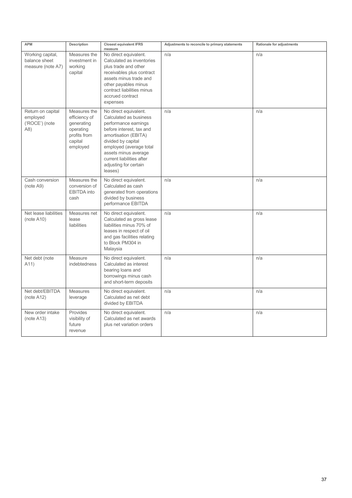| <b>APM</b>                                             | Description                                                                                     | <b>Closest equivalent IFRS</b><br>measure                                                                                                                                                                                                                             | Adjustments to reconcile to primary statements | Rationale for adjustments |
|--------------------------------------------------------|-------------------------------------------------------------------------------------------------|-----------------------------------------------------------------------------------------------------------------------------------------------------------------------------------------------------------------------------------------------------------------------|------------------------------------------------|---------------------------|
| Working capital,<br>balance sheet<br>measure (note A7) | Measures the<br>investment in<br>working<br>capital                                             | No direct equivalent.<br>Calculated as inventories<br>plus trade and other<br>receivables plus contract<br>assets minus trade and<br>other payables minus<br>contract liabilities minus<br>accrued contract<br>expenses                                               | n/a                                            | n/a                       |
| Return on capital<br>employed<br>('ROCE') (note<br>A8) | Measures the<br>efficiency of<br>generating<br>operating<br>profits from<br>capital<br>employed | No direct equivalent.<br>Calculated as business<br>performance earnings<br>before interest, tax and<br>amortisation (EBITA)<br>divided by capital<br>employed (average total<br>assets minus average<br>current liabilities after<br>adjusting for certain<br>leases) | n/a                                            | n/a                       |
| Cash conversion<br>(note A9)                           | Measures the<br>conversion of<br>EBITDA into<br>cash                                            | No direct equivalent.<br>Calculated as cash<br>generated from operations<br>divided by business<br>performance EBITDA                                                                                                                                                 | n/a                                            | n/a                       |
| Net lease liabilities<br>(note A10)                    | Measures net<br>lease<br>liabilities                                                            | No direct equivalent.<br>Calculated as gross lease<br>liabilities minus 70% of<br>leases in respect of oil<br>and gas facilities relating<br>to Block PM304 in<br>Malaysia                                                                                            | n/a                                            | n/a                       |
| Net debt (note<br>A11)                                 | Measure<br>indebtedness                                                                         | No direct equivalent.<br>Calculated as interest<br>bearing loans and<br>borrowings minus cash<br>and short-term deposits                                                                                                                                              | n/a                                            | n/a                       |
| Net debt/EBITDA<br>(note $A12$ )                       | Measures<br>leverage                                                                            | No direct equivalent.<br>Calculated as net debt<br>divided by EBITDA                                                                                                                                                                                                  | n/a                                            | n/a                       |
| New order intake<br>(note A13)                         | Provides<br>visibility of<br>future<br>revenue                                                  | No direct equivalent.<br>Calculated as net awards<br>plus net variation orders                                                                                                                                                                                        | n/a                                            | n/a                       |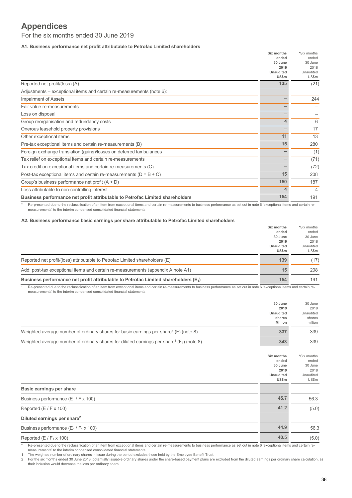## **Appendices**

For the six months ended 30 June 2019

**A1. Business performance net profit attributable to Petrofac Limited shareholders**

|                                                                               | Six months | *Six months |
|-------------------------------------------------------------------------------|------------|-------------|
|                                                                               | ended      | ended       |
|                                                                               | 30 June    | 30 June     |
|                                                                               | 2019       | 2018        |
|                                                                               | Unaudited  | Unaudited   |
|                                                                               | US\$m      | US\$m       |
| Reported net profit/(loss) (A)                                                | 135        | (21)        |
| Adjustments - exceptional items and certain re-measurements (note 6):         |            |             |
| Impairment of Assets                                                          |            | 244         |
| Fair value re-measurements                                                    |            |             |
| Loss on disposal                                                              |            |             |
| Group reorganisation and redundancy costs                                     | 4          | 6           |
| Onerous leasehold property provisions                                         |            | 17          |
| Other exceptional items                                                       | 11         | 13          |
| Pre-tax exceptional items and certain re-measurements (B)                     | 15         | 280         |
| Foreign exchange translation (gains)/losses on deferred tax balances          |            | (1)         |
| Tax relief on exceptional items and certain re-measurements                   |            | (71)        |
| Tax credit on exceptional items and certain re-measurements (C)               |            | (72)        |
| Post-tax exceptional items and certain re-measurements ( $D = B + C$ )        | 15         | 208         |
| Group's business performance net profit $(A + D)$                             | 150        | 187         |
| Loss attributable to non-controlling interest                                 | 4          | 4           |
| Business performance net profit attributable to Petrofac Limited shareholders | 154        | 191         |

Re-presented due to the reclassification of an item from exceptional items and certain re-measurements to business performance as set out in note 6 'exceptional items and certain remeasurements' to the interim condensed consolidated financial statements.

#### **A2. Business performance basic earnings per share attributable to Petrofac Limited shareholders**

|                                                                                       | Six months   | *Six months |
|---------------------------------------------------------------------------------------|--------------|-------------|
|                                                                                       | ended        | ended       |
|                                                                                       | 30 June      | 30 June     |
|                                                                                       | 2019         | 2018        |
|                                                                                       | Unaudited    | Unaudited   |
|                                                                                       | <b>US\$m</b> | US\$m       |
| Reported net profit/(loss) attributable to Petrofac Limited shareholders (E)          | 139          | (17)        |
| Add: post-tax exceptional items and certain re-measurements (appendix A note A1)      | 15           | 208         |
| Business performance net profit attributable to Petrofac Limited shareholders $(E_1)$ | 154          | 191         |

\* Re-presented due to the reclassification of an item from exceptional items and certain re-measurements to business performance as set out in note 6 'exceptional items and certain remeasurements' to the interim condensed consolidated financial statements.

|                                                                                                           | 30 June   | 30 June   |
|-----------------------------------------------------------------------------------------------------------|-----------|-----------|
|                                                                                                           | 2019      | 2019      |
|                                                                                                           | Unaudited | Unaudited |
|                                                                                                           | shares    | shares    |
|                                                                                                           | Million   | million   |
| Weighted average number of ordinary shares for basic earnings per share <sup>1</sup> (F) (note 8)         | 337       | 339       |
| Weighted average number of ordinary shares for diluted earnings per share <sup>1</sup> ( $F_1$ ) (note 8) | 343       | 339       |

|                                             | Six months<br>ended<br>30 June    | *Six months<br>ended<br>30 June |
|---------------------------------------------|-----------------------------------|---------------------------------|
|                                             | 2019<br><b>Unaudited</b><br>US\$m | 2018<br>Unaudited<br>US\$m      |
| Basic earnings per share                    |                                   |                                 |
| Business performance $(E_1 / F \times 100)$ | 45.7                              | 56.3                            |
| Reported $(E / F \times 100)$               | 41.2                              | (5.0)                           |
| Diluted earnings per share <sup>2</sup>     |                                   |                                 |
| Business performance $(E_1/F_1 \times 100)$ | 44.9                              | 56.3                            |
| Reported $(E / F_1 \times 100)$             | 40.5                              | (5.0)                           |

Re-presented due to the reclassification of an item from exceptional items and certain re-measurements to business performance as set out in note 6 'exceptional items and certain remeasurements' to the interim condensed consolidated financial statements.

The weighted number of ordinary shares in issue during the period excludes those held by the Employee Benefit Trust.

2 For the six months ended 30 June 2018, potentially issuable ordinary shares under the share-based payment plans are excluded from the diluted earnings per ordinary share calculation, as their inclusion would decrease the loss per ordinary share.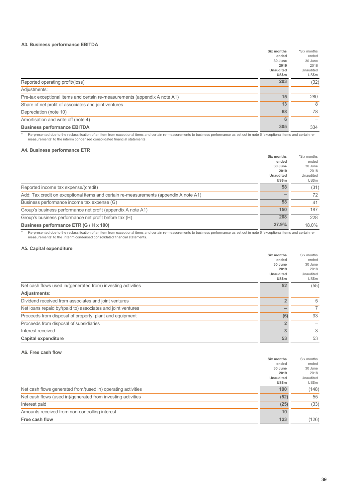#### **A3. Business performance EBITDA**

|                                                                            | Six months       | *Six months |
|----------------------------------------------------------------------------|------------------|-------------|
|                                                                            | ended            | ended       |
|                                                                            | 30 June          | 30 June     |
|                                                                            | 2019             | 2018        |
|                                                                            | <b>Unaudited</b> | Unaudited   |
|                                                                            | US\$m            | US\$m       |
| Reported operating profit/(loss)                                           | 203              | (32)        |
| Adjustments:                                                               |                  |             |
| Pre-tax exceptional items and certain re-measurements (appendix A note A1) | 15               | 280         |
| Share of net profit of associates and joint ventures                       | 13               | 8           |
| Depreciation (note 10)                                                     | 68               | 78          |
| Amortisation and write off (note 4)                                        | 6                |             |
| <b>Business performance EBITDA</b>                                         | 305              | 334         |

\* Re-presented due to the reclassification of an item from exceptional items and certain re-measurements to business performance as set out in note 6 'exceptional items and certain remeasurements' to the interim condensed consolidated financial statements.

#### **A4. Business performance ETR**

|                                                                                       | Six months                | *Six months        |
|---------------------------------------------------------------------------------------|---------------------------|--------------------|
|                                                                                       | ended<br>30 June          | ended<br>30 June   |
|                                                                                       | 2019                      | 2018               |
|                                                                                       | <b>Unaudited</b><br>US\$m | Unaudited<br>US\$m |
| Reported income tax expense/(credit)                                                  | 58                        | (31)               |
| Add: Tax credit on exceptional items and certain re-measurements (appendix A note A1) |                           | 72                 |
| Business performance income tax expense (G)                                           | 58                        | 41                 |
| Group's business performance net profit (appendix A note A1)                          | 150                       | 187                |
| Group's business performance net profit before tax (H)                                | 208                       | 228                |
| Business performance ETR (G / H x 100)                                                | 27.9%                     | 18.0%              |

Re-presented due to the reclassification of an item from exceptional items and certain re-measurements to business performance as set out in note 6 'exceptional items and certain remeasurements' to the interim condensed consolidated financial statements.

#### **A5. Capital expenditure**

|                                                              | Six months       | Six months     |
|--------------------------------------------------------------|------------------|----------------|
|                                                              | ended            | ended          |
|                                                              | 30 June          | 30 June        |
|                                                              | 2019             | 2018           |
|                                                              | <b>Unaudited</b> | Unaudited      |
|                                                              | US\$m            | US\$m          |
| Net cash flows used in/(generated from) investing activities | 52               | (55)           |
| <b>Adjustments:</b>                                          |                  |                |
| Dividend received from associates and joint ventures         | C                | 5              |
| Net loans repaid by/(paid to) associates and joint ventures  |                  | $\overline{7}$ |
| Proceeds from disposal of property, plant and equipment      | (6)              | 93             |
| Proceeds from disposal of subsidiaries                       | $\overline{2}$   |                |
| Interest received                                            | 3                | 3              |
| <b>Capital expenditure</b>                                   | 53               | 53             |

#### **A6. Free cash flow**

|                                                              | Six months       | Six months |
|--------------------------------------------------------------|------------------|------------|
|                                                              | ended            | ended      |
|                                                              | 30 June          | 30 June    |
|                                                              | 2019             | 2018       |
|                                                              | <b>Unaudited</b> | Unaudited  |
|                                                              | US\$m            | US\$m      |
| Net cash flows generated from/(used in) operating activities | 190              | (148)      |
| Net cash flows (used in)/generated from investing activities | (52)             | 55         |
| Interest paid                                                | (25)             | (33)       |
| Amounts received from non-controlling interest               | 10               |            |
| Free cash flow                                               | 123              | (126)      |
|                                                              |                  |            |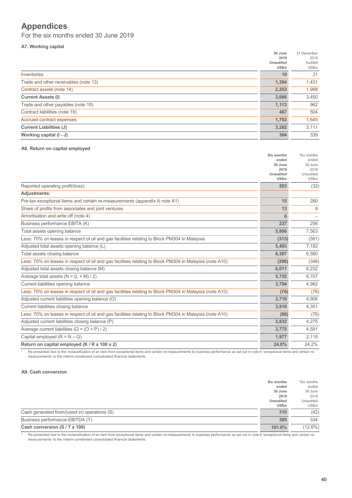## **Appendices**

For the six months ended 30 June 2019

#### **A7. Working capital**

| 2019<br>2018<br><b>Unaudited</b><br>Audited<br>US\$m<br>US\$m<br>19<br>21<br>Inventories<br>1,394<br>1,431<br>Trade and other receivables (note 13)<br>2,253<br>Contract assets (note 14)<br>1,998<br><b>Current Assets (I)</b><br>3,666<br>3,450<br>962<br>1,113<br>Trade and other payables (note 18)<br>467<br>504<br>1,702<br>1,645<br>Accrued contract expenses<br><b>Current Liabilities (J)</b><br>3,282<br>3,111<br>339<br>Working capital (I - J)<br>384 |                                | 30 June | 31 December |
|-------------------------------------------------------------------------------------------------------------------------------------------------------------------------------------------------------------------------------------------------------------------------------------------------------------------------------------------------------------------------------------------------------------------------------------------------------------------|--------------------------------|---------|-------------|
|                                                                                                                                                                                                                                                                                                                                                                                                                                                                   |                                |         |             |
|                                                                                                                                                                                                                                                                                                                                                                                                                                                                   |                                |         |             |
|                                                                                                                                                                                                                                                                                                                                                                                                                                                                   |                                |         |             |
|                                                                                                                                                                                                                                                                                                                                                                                                                                                                   |                                |         |             |
|                                                                                                                                                                                                                                                                                                                                                                                                                                                                   |                                |         |             |
|                                                                                                                                                                                                                                                                                                                                                                                                                                                                   |                                |         |             |
|                                                                                                                                                                                                                                                                                                                                                                                                                                                                   |                                |         |             |
|                                                                                                                                                                                                                                                                                                                                                                                                                                                                   |                                |         |             |
|                                                                                                                                                                                                                                                                                                                                                                                                                                                                   | Contract liabilities (note 19) |         |             |
|                                                                                                                                                                                                                                                                                                                                                                                                                                                                   |                                |         |             |
|                                                                                                                                                                                                                                                                                                                                                                                                                                                                   |                                |         |             |
|                                                                                                                                                                                                                                                                                                                                                                                                                                                                   |                                |         |             |

#### **A8. Return on capital employed**

| ended<br>ended<br>30 June<br>30 June<br>2019<br>2018<br><b>Unaudited</b><br>Unaudited<br><b>US\$m</b><br>US\$m<br>Reported operating profit/(loss)<br>203<br>(32)<br>Pre-tax exceptional items and certain re-measurements (appendix A note A1)<br>15<br>280<br>Share of profits from associates and joint ventures<br>13<br>8<br>Amortisation and write off (note 4)<br>6<br>Business performance EBITA (K)<br>237<br>256<br>Total assets opening balance<br>5,806<br>7,563<br>Less: 70% on leases in respect of oil and gas facilities relating to Block PM304 in Malaysia<br>(313)<br>(381)<br>Adjusted total assets opening balance (L)<br>5,493<br>7,182<br>Total assets closing balance<br>6,580<br>6,307<br>Less: 70% on leases in respect of oil and gas facilities relating to Block PM304 in Malaysia (note A10)<br>(296)<br>(348)<br>Adjusted total assets closing balance (M)<br>6,232<br>6,011<br>Average total assets $(N = (L + M)/2)$<br>6,707<br>5,752<br>Current liabilities opening balance<br>4,982<br>3,794<br>Less: 70% on leases in respect of oil and gas facilities relating to Block PM304 in Malaysia (note A10)<br>(76)<br>(76)<br>Adjusted current liabilities opening balance (O)<br>3,718<br>4,906<br>Current liabilities closing balance<br>4,351<br>3,918<br>Less: 70% on leases in respect of oil and gas facilities relating to Block PM304 in Malaysia (note A10)<br>(86)<br>(76)<br>Adjusted current liabilities closing balance (P)<br>3,832<br>4,275<br>Average current liabilities $(Q = (O + P)/2)$<br>3,775<br>4,591<br>1,977<br>2,116<br>24.2%<br>Return on capital employed (K / R x 100 x 2)<br>24.0% |                                | Six months | *Six months |
|----------------------------------------------------------------------------------------------------------------------------------------------------------------------------------------------------------------------------------------------------------------------------------------------------------------------------------------------------------------------------------------------------------------------------------------------------------------------------------------------------------------------------------------------------------------------------------------------------------------------------------------------------------------------------------------------------------------------------------------------------------------------------------------------------------------------------------------------------------------------------------------------------------------------------------------------------------------------------------------------------------------------------------------------------------------------------------------------------------------------------------------------------------------------------------------------------------------------------------------------------------------------------------------------------------------------------------------------------------------------------------------------------------------------------------------------------------------------------------------------------------------------------------------------------------------------------------------------------------------------------------------------------|--------------------------------|------------|-------------|
|                                                                                                                                                                                                                                                                                                                                                                                                                                                                                                                                                                                                                                                                                                                                                                                                                                                                                                                                                                                                                                                                                                                                                                                                                                                                                                                                                                                                                                                                                                                                                                                                                                                    |                                |            |             |
|                                                                                                                                                                                                                                                                                                                                                                                                                                                                                                                                                                                                                                                                                                                                                                                                                                                                                                                                                                                                                                                                                                                                                                                                                                                                                                                                                                                                                                                                                                                                                                                                                                                    |                                |            |             |
|                                                                                                                                                                                                                                                                                                                                                                                                                                                                                                                                                                                                                                                                                                                                                                                                                                                                                                                                                                                                                                                                                                                                                                                                                                                                                                                                                                                                                                                                                                                                                                                                                                                    |                                |            |             |
|                                                                                                                                                                                                                                                                                                                                                                                                                                                                                                                                                                                                                                                                                                                                                                                                                                                                                                                                                                                                                                                                                                                                                                                                                                                                                                                                                                                                                                                                                                                                                                                                                                                    |                                |            |             |
|                                                                                                                                                                                                                                                                                                                                                                                                                                                                                                                                                                                                                                                                                                                                                                                                                                                                                                                                                                                                                                                                                                                                                                                                                                                                                                                                                                                                                                                                                                                                                                                                                                                    |                                |            |             |
|                                                                                                                                                                                                                                                                                                                                                                                                                                                                                                                                                                                                                                                                                                                                                                                                                                                                                                                                                                                                                                                                                                                                                                                                                                                                                                                                                                                                                                                                                                                                                                                                                                                    | <b>Adjustments:</b>            |            |             |
|                                                                                                                                                                                                                                                                                                                                                                                                                                                                                                                                                                                                                                                                                                                                                                                                                                                                                                                                                                                                                                                                                                                                                                                                                                                                                                                                                                                                                                                                                                                                                                                                                                                    |                                |            |             |
|                                                                                                                                                                                                                                                                                                                                                                                                                                                                                                                                                                                                                                                                                                                                                                                                                                                                                                                                                                                                                                                                                                                                                                                                                                                                                                                                                                                                                                                                                                                                                                                                                                                    |                                |            |             |
|                                                                                                                                                                                                                                                                                                                                                                                                                                                                                                                                                                                                                                                                                                                                                                                                                                                                                                                                                                                                                                                                                                                                                                                                                                                                                                                                                                                                                                                                                                                                                                                                                                                    |                                |            |             |
|                                                                                                                                                                                                                                                                                                                                                                                                                                                                                                                                                                                                                                                                                                                                                                                                                                                                                                                                                                                                                                                                                                                                                                                                                                                                                                                                                                                                                                                                                                                                                                                                                                                    |                                |            |             |
|                                                                                                                                                                                                                                                                                                                                                                                                                                                                                                                                                                                                                                                                                                                                                                                                                                                                                                                                                                                                                                                                                                                                                                                                                                                                                                                                                                                                                                                                                                                                                                                                                                                    |                                |            |             |
|                                                                                                                                                                                                                                                                                                                                                                                                                                                                                                                                                                                                                                                                                                                                                                                                                                                                                                                                                                                                                                                                                                                                                                                                                                                                                                                                                                                                                                                                                                                                                                                                                                                    |                                |            |             |
|                                                                                                                                                                                                                                                                                                                                                                                                                                                                                                                                                                                                                                                                                                                                                                                                                                                                                                                                                                                                                                                                                                                                                                                                                                                                                                                                                                                                                                                                                                                                                                                                                                                    |                                |            |             |
|                                                                                                                                                                                                                                                                                                                                                                                                                                                                                                                                                                                                                                                                                                                                                                                                                                                                                                                                                                                                                                                                                                                                                                                                                                                                                                                                                                                                                                                                                                                                                                                                                                                    |                                |            |             |
|                                                                                                                                                                                                                                                                                                                                                                                                                                                                                                                                                                                                                                                                                                                                                                                                                                                                                                                                                                                                                                                                                                                                                                                                                                                                                                                                                                                                                                                                                                                                                                                                                                                    |                                |            |             |
|                                                                                                                                                                                                                                                                                                                                                                                                                                                                                                                                                                                                                                                                                                                                                                                                                                                                                                                                                                                                                                                                                                                                                                                                                                                                                                                                                                                                                                                                                                                                                                                                                                                    |                                |            |             |
|                                                                                                                                                                                                                                                                                                                                                                                                                                                                                                                                                                                                                                                                                                                                                                                                                                                                                                                                                                                                                                                                                                                                                                                                                                                                                                                                                                                                                                                                                                                                                                                                                                                    |                                |            |             |
|                                                                                                                                                                                                                                                                                                                                                                                                                                                                                                                                                                                                                                                                                                                                                                                                                                                                                                                                                                                                                                                                                                                                                                                                                                                                                                                                                                                                                                                                                                                                                                                                                                                    |                                |            |             |
|                                                                                                                                                                                                                                                                                                                                                                                                                                                                                                                                                                                                                                                                                                                                                                                                                                                                                                                                                                                                                                                                                                                                                                                                                                                                                                                                                                                                                                                                                                                                                                                                                                                    |                                |            |             |
|                                                                                                                                                                                                                                                                                                                                                                                                                                                                                                                                                                                                                                                                                                                                                                                                                                                                                                                                                                                                                                                                                                                                                                                                                                                                                                                                                                                                                                                                                                                                                                                                                                                    |                                |            |             |
|                                                                                                                                                                                                                                                                                                                                                                                                                                                                                                                                                                                                                                                                                                                                                                                                                                                                                                                                                                                                                                                                                                                                                                                                                                                                                                                                                                                                                                                                                                                                                                                                                                                    |                                |            |             |
|                                                                                                                                                                                                                                                                                                                                                                                                                                                                                                                                                                                                                                                                                                                                                                                                                                                                                                                                                                                                                                                                                                                                                                                                                                                                                                                                                                                                                                                                                                                                                                                                                                                    |                                |            |             |
|                                                                                                                                                                                                                                                                                                                                                                                                                                                                                                                                                                                                                                                                                                                                                                                                                                                                                                                                                                                                                                                                                                                                                                                                                                                                                                                                                                                                                                                                                                                                                                                                                                                    |                                |            |             |
|                                                                                                                                                                                                                                                                                                                                                                                                                                                                                                                                                                                                                                                                                                                                                                                                                                                                                                                                                                                                                                                                                                                                                                                                                                                                                                                                                                                                                                                                                                                                                                                                                                                    |                                |            |             |
|                                                                                                                                                                                                                                                                                                                                                                                                                                                                                                                                                                                                                                                                                                                                                                                                                                                                                                                                                                                                                                                                                                                                                                                                                                                                                                                                                                                                                                                                                                                                                                                                                                                    | Capital employed $(R = N - Q)$ |            |             |
|                                                                                                                                                                                                                                                                                                                                                                                                                                                                                                                                                                                                                                                                                                                                                                                                                                                                                                                                                                                                                                                                                                                                                                                                                                                                                                                                                                                                                                                                                                                                                                                                                                                    |                                |            |             |

\* Re-presented due to the reclassification of an item from exceptional items and certain re-measurements to business performance as set out in note 6 'exceptional items and certain remeasurements' to the interim condensed consolidated financial statements.

#### **A9. Cash conversion**

|                                              | Six months       | *Six months |
|----------------------------------------------|------------------|-------------|
|                                              | ended            | ended       |
|                                              | 30 June          | 30 June     |
|                                              | 2019             | 2018        |
|                                              | <b>Unaudited</b> | Unaudited   |
|                                              | <b>US\$m</b>     | US\$m       |
| Cash generated from/(used in) operations (S) | 310              | (42)        |
| Business performance EBITDA (T)              | 305              | 334         |
| Cash conversion (S / T x 100)                | $101.6\%$        | $(12.6\%)$  |

\* Re-presented due to the reclassification of an item from exceptional items and certain re-measurements to business performance as set out in note 6 'exceptional items and certain remeasurements' to the interim condensed consolidated financial statements.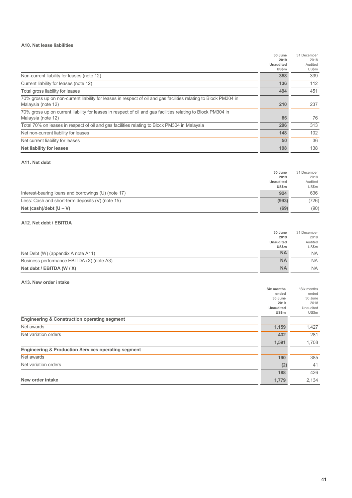#### **A10. Net lease liabilities**

|                                                                                                                  | 30 June          | 31 December |
|------------------------------------------------------------------------------------------------------------------|------------------|-------------|
|                                                                                                                  | 2019             | 2018        |
|                                                                                                                  | <b>Unaudited</b> | Audited     |
|                                                                                                                  | US\$m            | US\$m       |
| Non-current liability for leases (note 12)                                                                       | 358              | 339         |
| Current liability for leases (note 12)                                                                           | 136              | 112         |
| Total gross liability for leases                                                                                 | 494              | 451         |
| 70% gross up on non-current liability for leases in respect of oil and gas facilities relating to Block PM304 in |                  |             |
| Malaysia (note 12)                                                                                               | 210              | 237         |
| 70% gross up on current liability for leases in respect of oil and gas facilities relating to Block PM304 in     |                  |             |
| Malaysia (note 12)                                                                                               | 86               | 76          |
| Total 70% on leases in respect of oil and gas facilities relating to Block PM304 in Malaysia                     | 296              | 313         |
| Net non-current liability for leases                                                                             | 148              | 102         |
| Net current liability for leases                                                                                 | 50               | 36          |
| <b>Net liability for leases</b>                                                                                  | 198              | 138         |

#### **A11. Net debt**

|                                                     | 30 June      | 31 December |
|-----------------------------------------------------|--------------|-------------|
|                                                     | 2019         | 2018        |
|                                                     | Unaudited    | Audited     |
|                                                     | <b>US\$m</b> | US\$m       |
| Interest-bearing loans and borrowings (U) (note 17) | 924          | 636         |
| Less: Cash and short-term deposits (V) (note 15)    | (993)        | (726)       |
| Net (cash)/debt $(U - V)$                           | (69)         | (90)        |

#### **A12. Net debt / EBITDA**

|                                           | 30 June          | 31 December |
|-------------------------------------------|------------------|-------------|
|                                           | 2019             | 2018        |
|                                           | <b>Unaudited</b> | Audited     |
|                                           | <b>US\$m</b>     | US\$m       |
| Net Debt (W) (appendix A note A11)        | <b>NA</b>        | NA.         |
| Business performance EBITDA (X) (note A3) | <b>NA</b>        | <b>NA</b>   |
| Net debt / EBITDA (W / X)                 | <b>NA</b>        | <b>NA</b>   |

#### **A13. New order intake**

|                                                                | Six months       | *Six months |
|----------------------------------------------------------------|------------------|-------------|
|                                                                | ended            | ended       |
|                                                                | 30 June          | 30 June     |
|                                                                | 2019             | 2018        |
|                                                                | <b>Unaudited</b> | Unaudited   |
|                                                                | US\$m            | US\$m       |
| <b>Engineering &amp; Construction operating segment</b>        |                  |             |
| Net awards                                                     | 1,159            | 1,427       |
| Net variation orders                                           | 432              | 281         |
|                                                                | 1,591            | 1,708       |
| <b>Engineering &amp; Production Services operating segment</b> |                  |             |
| Net awards                                                     | 190              | 385         |
| Net variation orders                                           | (2)              | 41          |
|                                                                | 188              | 426         |
| New order intake                                               | 1,779            | 2,134       |
|                                                                |                  |             |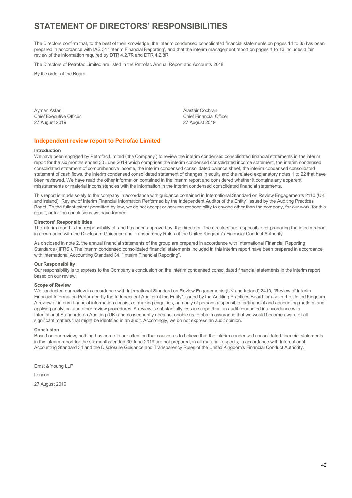## **STATEMENT OF DIRECTORS' RESPONSIBILITIES**

The Directors confirm that, to the best of their knowledge, the interim condensed consolidated financial statements on pages 14 to 35 has been prepared in accordance with IAS 34 'Interim Financial Reporting', and that the interim management report on pages 1 to 13 includes a fair review of the information required by DTR 4.2.7R and DTR 4.2.8R.

The Directors of Petrofac Limited are listed in the Petrofac Annual Report and Accounts 2018.

By the order of the Board

Ayman Asfari **Alastair Cochran** Asfari Alastair Cochran Alastair Cochran Alastair Cochran Alastair Cochran Alastair Cochran Alastair Cochran Alastair Cochran Alastair Cochran Alastair Cochran Alastair Cochran Alastair Coch Chief Executive Officer Chief Financial Officer

27 August 2019 27 August 2019

#### **Independent review report to Petrofac Limited**

#### **Introduction**

We have been engaged by Petrofac Limited ('the Company') to review the interim condensed consolidated financial statements in the interim report for the six months ended 30 June 2019 which comprises the interim condensed consolidated income statement, the interim condensed consolidated statement of comprehensive income, the interim condensed consolidated balance sheet, the interim condensed consolidated statement of cash flows, the interim condensed consolidated statement of changes in equity and the related explanatory notes 1 to 22 that have been reviewed. We have read the other information contained in the interim report and considered whether it contains any apparent misstatements or material inconsistencies with the information in the interim condensed consolidated financial statements.

This report is made solely to the company in accordance with guidance contained in International Standard on Review Engagements 2410 (UK and Ireland) "Review of Interim Financial Information Performed by the Independent Auditor of the Entity" issued by the Auditing Practices Board. To the fullest extent permitted by law, we do not accept or assume responsibility to anyone other than the company, for our work, for this report, or for the conclusions we have formed.

#### **Directors' Responsibilities**

The interim report is the responsibility of, and has been approved by, the directors. The directors are responsible for preparing the interim report in accordance with the Disclosure Guidance and Transparency Rules of the United Kingdom's Financial Conduct Authority.

As disclosed in note 2, the annual financial statements of the group are prepared in accordance with International Financial Reporting Standards ('IFRS'). The interim condensed consolidated financial statements included in this interim report have been prepared in accordance with International Accounting Standard 34, "Interim Financial Reporting".

#### **Our Responsibility**

Our responsibility is to express to the Company a conclusion on the interim condensed consolidated financial statements in the interim report based on our review.

#### **Scope of Review**

We conducted our review in accordance with International Standard on Review Engagements (UK and Ireland) 2410, "Review of Interim Financial Information Performed by the Independent Auditor of the Entity" issued by the Auditing Practices Board for use in the United Kingdom. A review of interim financial information consists of making enquiries, primarily of persons responsible for financial and accounting matters, and applying analytical and other review procedures. A review is substantially less in scope than an audit conducted in accordance with International Standards on Auditing (UK) and consequently does not enable us to obtain assurance that we would become aware of all significant matters that might be identified in an audit. Accordingly, we do not express an audit opinion.

#### **Conclusion**

Based on our review, nothing has come to our attention that causes us to believe that the interim condensed consolidated financial statements in the interim report for the six months ended 30 June 2019 are not prepared, in all material respects, in accordance with International Accounting Standard 34 and the Disclosure Guidance and Transparency Rules of the United Kingdom's Financial Conduct Authority.

Ernst & Young LLP London 27 August 2019